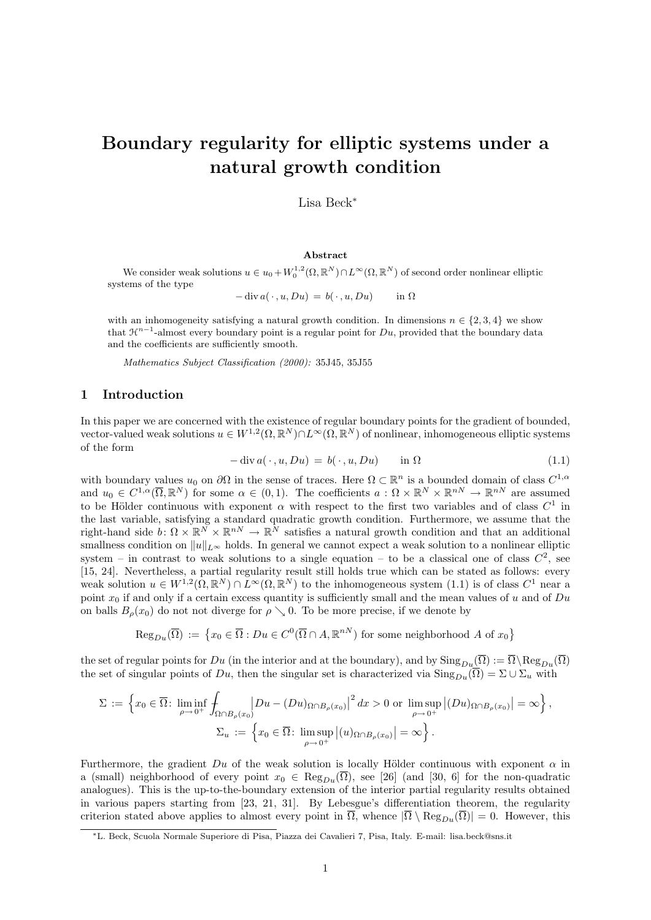# Boundary regularity for elliptic systems under a natural growth condition

Lisa Beck<sup>∗</sup>

#### Abstract

We consider weak solutions  $u \in u_0 + W_0^{1,2}(\Omega, \mathbb{R}^N) \cap L^{\infty}(\Omega, \mathbb{R}^N)$  of second order nonlinear elliptic systems of the type

 $-\text{div } a(\cdot, u, Du) = b(\cdot, u, Du)$  in  $\Omega$ 

with an inhomogeneity satisfying a natural growth condition. In dimensions  $n \in \{2, 3, 4\}$  we show that  $\mathcal{H}^{n-1}$ -almost every boundary point is a regular point for Du, provided that the boundary data and the coefficients are sufficiently smooth.

Mathematics Subject Classification (2000): 35J45, 35J55

## 1 Introduction

In this paper we are concerned with the existence of regular boundary points for the gradient of bounded, vector-valued weak solutions  $u \in W^{1,2}(\Omega,\mathbb{R}^N) \cap L^\infty(\Omega,\mathbb{R}^N)$  of nonlinear, inhomogeneous elliptic systems of the form

$$
-\operatorname{div} a(\cdot, u, Du) = b(\cdot, u, Du) \quad \text{in } \Omega \tag{1.1}
$$

with boundary values  $u_0$  on  $\partial\Omega$  in the sense of traces. Here  $\Omega \subset \mathbb{R}^n$  is a bounded domain of class  $C^{1,\alpha}$ and  $u_0 \in C^{1,\alpha}(\overline{\Omega},\mathbb{R}^N)$  for some  $\alpha \in (0,1)$ . The coefficients  $a: \Omega \times \mathbb{R}^N \times \mathbb{R}^{nN} \to \mathbb{R}^{nN}$  are assumed to be Hölder continuous with exponent  $\alpha$  with respect to the first two variables and of class  $C^1$  in the last variable, satisfying a standard quadratic growth condition. Furthermore, we assume that the right-hand side  $b: \Omega \times \mathbb{R}^N \times \mathbb{R}^{nN} \to \mathbb{R}^N$  satisfies a natural growth condition and that an additional smallness condition on  $||u||_{L^{\infty}}$  holds. In general we cannot expect a weak solution to a nonlinear elliptic system – in contrast to weak solutions to a single equation – to be a classical one of class  $C^2$ , see [15, 24]. Nevertheless, a partial regularity result still holds true which can be stated as follows: every weak solution  $u \in W^{1,2}(\Omega,\mathbb{R}^N) \cap L^{\infty}(\Omega,\mathbb{R}^N)$  to the inhomogeneous system (1.1) is of class  $C^1$  near a point  $x_0$  if and only if a certain excess quantity is sufficiently small and the mean values of u and of  $Du$ on balls  $B_{\rho}(x_0)$  do not not diverge for  $\rho \searrow 0$ . To be more precise, if we denote by

 $\text{Reg}_{Du}(\overline{\Omega}) := \{x_0 \in \overline{\Omega} : Du \in C^0(\overline{\Omega} \cap A, \mathbb{R}^{nN}) \text{ for some neighborhood } A \text{ of } x_0\}$ 

the set of regular points for Du (in the interior and at the boundary), and by  $\text{Sing}_{Du}(\overline{\Omega}) := \overline{\Omega} \setminus \text{Reg}_{Du}(\overline{\Omega})$ the set of singular points of Du, then the singular set is characterized via  $\text{Sing}_{Du}(\overline{\Omega}) = \Sigma \cup \Sigma_u$  with

$$
\Sigma := \left\{ x_0 \in \overline{\Omega} \colon \liminf_{\rho \to 0^+} \int_{\Omega \cap B_{\rho}(x_0)} \left| Du - (Du)_{\Omega \cap B_{\rho}(x_0)} \right|^2 dx > 0 \text{ or } \limsup_{\rho \to 0^+} \left| (Du)_{\Omega \cap B_{\rho}(x_0)} \right| = \infty \right\},\
$$
  

$$
\Sigma_u := \left\{ x_0 \in \overline{\Omega} \colon \limsup_{\rho \to 0^+} \left| (u)_{\Omega \cap B_{\rho}(x_0)} \right| = \infty \right\}.
$$

Furthermore, the gradient  $Du$  of the weak solution is locally Hölder continuous with exponent  $\alpha$  in a (small) neighborhood of every point  $x_0 \in \text{Reg}_{Du}(\overline{\Omega})$ , see [26] (and [30, 6] for the non-quadratic analogues). This is the up-to-the-boundary extension of the interior partial regularity results obtained in various papers starting from [23, 21, 31]. By Lebesgue's differentiation theorem, the regularity criterion stated above applies to almost every point in  $\overline{\Omega}$ , whence  $|\overline{\Omega} \setminus \text{Reg}_{Du}(\overline{\Omega})| = 0$ . However, this

<sup>∗</sup>L. Beck, Scuola Normale Superiore di Pisa, Piazza dei Cavalieri 7, Pisa, Italy. E-mail: lisa.beck@sns.it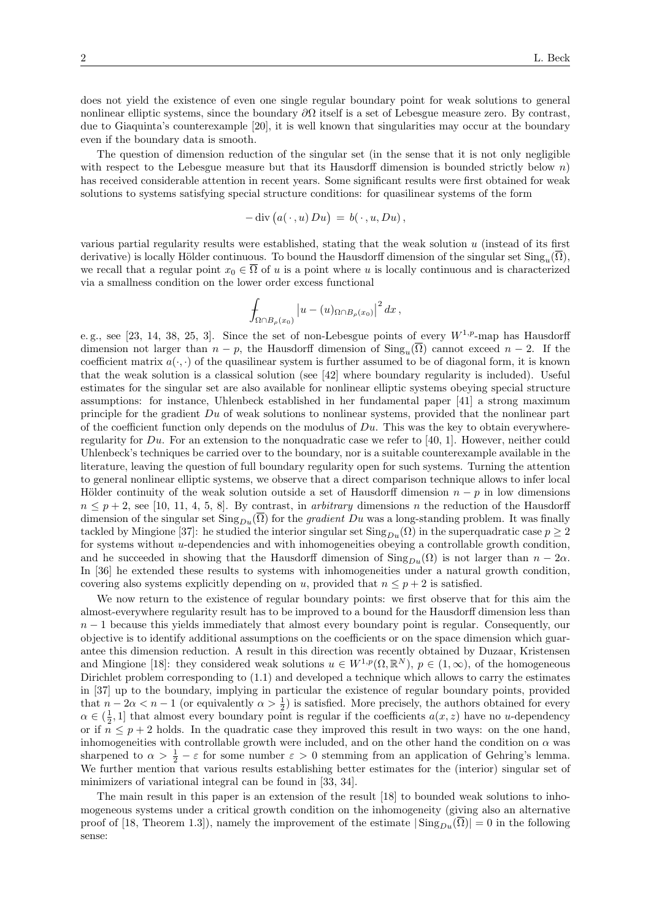does not yield the existence of even one single regular boundary point for weak solutions to general nonlinear elliptic systems, since the boundary  $\partial\Omega$  itself is a set of Lebesgue measure zero. By contrast, due to Giaquinta's counterexample [20], it is well known that singularities may occur at the boundary even if the boundary data is smooth.

The question of dimension reduction of the singular set (in the sense that it is not only negligible with respect to the Lebesgue measure but that its Hausdorff dimension is bounded strictly below  $n$ ) has received considerable attention in recent years. Some significant results were first obtained for weak solutions to systems satisfying special structure conditions: for quasilinear systems of the form

$$
- \operatorname{div} (a(\,\cdot\,,u)\,Du) \,=\, b(\,\cdot\,,u,Du)\,,
$$

various partial regularity results were established, stating that the weak solution  $u$  (instead of its first derivative) is locally Hölder continuous. To bound the Hausdorff dimension of the singular set  $\text{Sing}_u(\Omega)$ , we recall that a regular point  $x_0 \in \overline{\Omega}$  of u is a point where u is locally continuous and is characterized via a smallness condition on the lower order excess functional

$$
\int_{\Omega \cap B_{\rho}(x_0)} \left| u - (u)_{\Omega \cap B_{\rho}(x_0)} \right|^2 dx \,,
$$

e.g., see [23, 14, 38, 25, 3]. Since the set of non-Lebesgue points of every  $W^{1,p}$ -map has Hausdorff dimension not larger than  $n - p$ , the Hausdorff dimension of  $\text{Sing}_u(\Omega)$  cannot exceed  $n - 2$ . If the coefficient matrix  $a(\cdot, \cdot)$  of the quasilinear system is further assumed to be of diagonal form, it is known that the weak solution is a classical solution (see [42] where boundary regularity is included). Useful estimates for the singular set are also available for nonlinear elliptic systems obeying special structure assumptions: for instance, Uhlenbeck established in her fundamental paper [41] a strong maximum principle for the gradient Du of weak solutions to nonlinear systems, provided that the nonlinear part of the coefficient function only depends on the modulus of  $Du$ . This was the key to obtain everywhereregularity for  $Du$ . For an extension to the nonquadratic case we refer to [40, 1]. However, neither could Uhlenbeck's techniques be carried over to the boundary, nor is a suitable counterexample available in the literature, leaving the question of full boundary regularity open for such systems. Turning the attention to general nonlinear elliptic systems, we observe that a direct comparison technique allows to infer local Hölder continuity of the weak solution outside a set of Hausdorff dimension  $n - p$  in low dimensions  $n \leq p+2$ , see [10, 11, 4, 5, 8]. By contrast, in *arbitrary* dimensions n the reduction of the Hausdorff dimension of the singular set  $\text{Sing}_{Du}(\overline{\Omega})$  for the *gradient Du* was a long-standing problem. It was finally tackled by Mingione [37]: he studied the interior singular set  $\text{Sing}_{Du}(\Omega)$  in the superquadratic case  $p \geq 2$ for systems without u-dependencies and with inhomogeneities obeying a controllable growth condition, and he succeeded in showing that the Hausdorff dimension of  $\text{Sing}_{Du}(\Omega)$  is not larger than  $n-2\alpha$ . In [36] he extended these results to systems with inhomogeneities under a natural growth condition, covering also systems explicitly depending on u, provided that  $n \leq p+2$  is satisfied.

We now return to the existence of regular boundary points: we first observe that for this aim the almost-everywhere regularity result has to be improved to a bound for the Hausdorff dimension less than  $n-1$  because this yields immediately that almost every boundary point is regular. Consequently, our objective is to identify additional assumptions on the coefficients or on the space dimension which guarantee this dimension reduction. A result in this direction was recently obtained by Duzaar, Kristensen and Mingione [18]: they considered weak solutions  $u \in W^{1,p}(\Omega,\mathbb{R}^N)$ ,  $p \in (1,\infty)$ , of the homogeneous Dirichlet problem corresponding to (1.1) and developed a technique which allows to carry the estimates in [37] up to the boundary, implying in particular the existence of regular boundary points, provided that  $n-2\alpha < n-1$  (or equivalently  $\alpha > \frac{1}{2}$ ) is satisfied. More precisely, the authors obtained for every  $\alpha \in (\frac{1}{2}, 1]$  that almost every boundary point is regular if the coefficients  $a(x, z)$  have no u-dependency or if  $n \leq p+2$  holds. In the quadratic case they improved this result in two ways: on the one hand, inhomogeneities with controllable growth were included, and on the other hand the condition on  $\alpha$  was sharpened to  $\alpha > \frac{1}{2} - \varepsilon$  for some number  $\varepsilon > 0$  stemming from an application of Gehring's lemma. We further mention that various results establishing better estimates for the (interior) singular set of minimizers of variational integral can be found in [33, 34].

The main result in this paper is an extension of the result [18] to bounded weak solutions to inhomogeneous systems under a critical growth condition on the inhomogeneity (giving also an alternative proof of [18, Theorem 1.3]), namely the improvement of the estimate  $|\operatorname{Sing}_{Du}(\overline{\Omega})|=0$  in the following sense: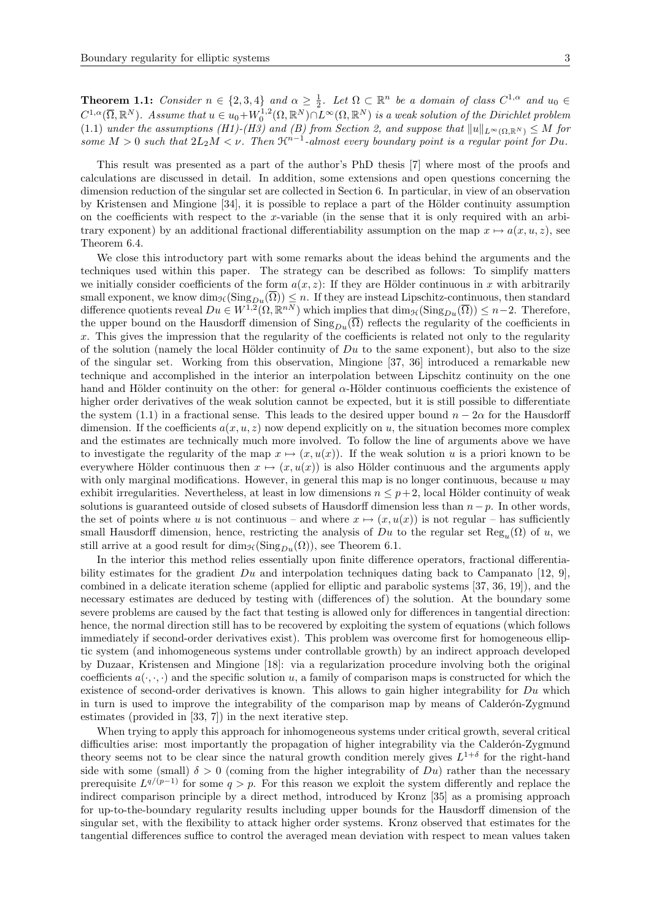**Theorem 1.1:** Consider  $n \in \{2,3,4\}$  and  $\alpha \geq \frac{1}{2}$ . Let  $\Omega \subset \mathbb{R}^n$  be a domain of class  $C^{1,\alpha}$  and  $u_0 \in$  $C^{1,\alpha}(\overline{\Omega},\mathbb R^N)$ . Assume that  $u \in u_0 + W_0^{1,2}(\Omega,\mathbb R^N) \cap L^{\infty}(\Omega,\mathbb R^N)$  is a weak solution of the Dirichlet problem (1.1) under the assumptions (H1)-(H3) and (B) from Section 2, and suppose that  $||u||_{L^{\infty}(\Omega,\mathbb{R}^N)} \leq M$  for some  $M > 0$  such that  $2L_2M < \nu$ . Then  $\mathfrak{R}^{n-1}$ -almost every boundary point is a regular point for Du.

This result was presented as a part of the author's PhD thesis [7] where most of the proofs and calculations are discussed in detail. In addition, some extensions and open questions concerning the dimension reduction of the singular set are collected in Section 6. In particular, in view of an observation by Kristensen and Mingione [34], it is possible to replace a part of the Hölder continuity assumption on the coefficients with respect to the x-variable (in the sense that it is only required with an arbitrary exponent) by an additional fractional differentiability assumption on the map  $x \mapsto a(x, u, z)$ , see Theorem 6.4.

We close this introductory part with some remarks about the ideas behind the arguments and the techniques used within this paper. The strategy can be described as follows: To simplify matters we initially consider coefficients of the form  $a(x, z)$ : If they are Hölder continuous in x with arbitrarily small exponent, we know  $\dim_{\mathcal{H}}(\text{Sing}_{Du}(\Omega)) \leq n$ . If they are instead Lipschitz-continuous, then standard difference quotients reveal  $Du \in W^{1,2}(\Omega,\mathbb{R}^{nN})$  which implies that  $\dim_{\mathcal{H}}(\text{Sing}_{Du}(\overline{\Omega})) \leq n-2$ . Therefore, the upper bound on the Hausdorff dimension of  $\text{Sing}_{Du}(\overline{\Omega})$  reflects the regularity of the coefficients in x. This gives the impression that the regularity of the coefficients is related not only to the regularity of the solution (namely the local Hölder continuity of  $Du$  to the same exponent), but also to the size of the singular set. Working from this observation, Mingione [37, 36] introduced a remarkable new technique and accomplished in the interior an interpolation between Lipschitz continuity on the one hand and Hölder continuity on the other: for general  $\alpha$ -Hölder continuous coefficients the existence of higher order derivatives of the weak solution cannot be expected, but it is still possible to differentiate the system (1.1) in a fractional sense. This leads to the desired upper bound  $n - 2\alpha$  for the Hausdorff dimension. If the coefficients  $a(x, u, z)$  now depend explicitly on u, the situation becomes more complex and the estimates are technically much more involved. To follow the line of arguments above we have to investigate the regularity of the map  $x \mapsto (x, u(x))$ . If the weak solution u is a priori known to be everywhere Hölder continuous then  $x \mapsto (x, u(x))$  is also Hölder continuous and the arguments apply with only marginal modifications. However, in general this map is no longer continuous, because  $u$  may exhibit irregularities. Nevertheless, at least in low dimensions  $n \leq p+2$ , local Hölder continuity of weak solutions is guaranteed outside of closed subsets of Hausdorff dimension less than  $n-p$ . In other words, the set of points where u is not continuous – and where  $x \mapsto (x, u(x))$  is not regular – has sufficiently small Hausdorff dimension, hence, restricting the analysis of  $Du$  to the regular set  $\text{Reg}_u(\Omega)$  of u, we still arrive at a good result for  $\dim_{\mathcal{H}}(\mathrm{Sing}_{Du}(\Omega))$ , see Theorem 6.1.

In the interior this method relies essentially upon finite difference operators, fractional differentiability estimates for the gradient  $Du$  and interpolation techniques dating back to Campanato [12, 9], combined in a delicate iteration scheme (applied for elliptic and parabolic systems [37, 36, 19]), and the necessary estimates are deduced by testing with (differences of) the solution. At the boundary some severe problems are caused by the fact that testing is allowed only for differences in tangential direction: hence, the normal direction still has to be recovered by exploiting the system of equations (which follows immediately if second-order derivatives exist). This problem was overcome first for homogeneous elliptic system (and inhomogeneous systems under controllable growth) by an indirect approach developed by Duzaar, Kristensen and Mingione [18]: via a regularization procedure involving both the original coefficients  $a(\cdot,\cdot,\cdot)$  and the specific solution u, a family of comparison maps is constructed for which the existence of second-order derivatives is known. This allows to gain higher integrability for  $Du$  which in turn is used to improve the integrability of the comparison map by means of Calderón-Zygmund estimates (provided in [33, 7]) in the next iterative step.

When trying to apply this approach for inhomogeneous systems under critical growth, several critical difficulties arise: most importantly the propagation of higher integrability via the Calderón-Zygmund theory seems not to be clear since the natural growth condition merely gives  $L^{1+\delta}$  for the right-hand side with some (small)  $\delta > 0$  (coming from the higher integrability of  $Du$ ) rather than the necessary prerequisite  $L^{q/(p-1)}$  for some  $q > p$ . For this reason we exploit the system differently and replace the indirect comparison principle by a direct method, introduced by Kronz [35] as a promising approach for up-to-the-boundary regularity results including upper bounds for the Hausdorff dimension of the singular set, with the flexibility to attack higher order systems. Kronz observed that estimates for the tangential differences suffice to control the averaged mean deviation with respect to mean values taken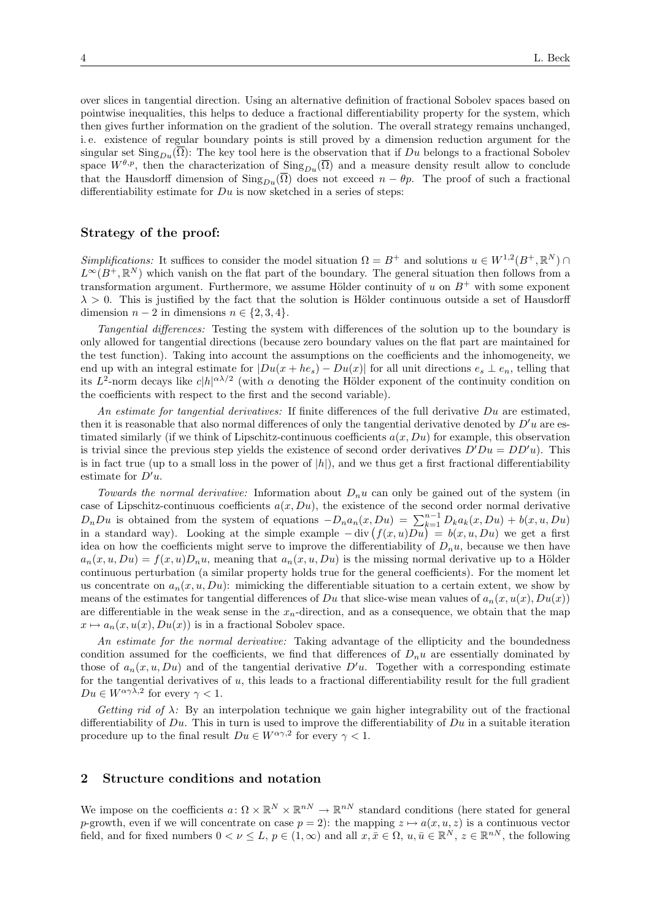over slices in tangential direction. Using an alternative definition of fractional Sobolev spaces based on pointwise inequalities, this helps to deduce a fractional differentiability property for the system, which then gives further information on the gradient of the solution. The overall strategy remains unchanged, i. e. existence of regular boundary points is still proved by a dimension reduction argument for the singular set  $\text{Sing}_{Du}(\overline{\Omega})$ : The key tool here is the observation that if Du belongs to a fractional Sobolev space  $W^{\theta,p}$ , then the characterization of  $\text{Sing}_{Du}(\overline{\Omega})$  and a measure density result allow to conclude that the Hausdorff dimension of  $\text{Sing}_{Du}(\overline{\Omega})$  does not exceed  $n - \theta p$ . The proof of such a fractional differentiability estimate for  $Du$  is now sketched in a series of steps:

# Strategy of the proof:

Simplifications: It suffices to consider the model situation  $\Omega = B^+$  and solutions  $u \in W^{1,2}(B^+, \mathbb{R}^N)$  $L^{\infty}(B^+, \mathbb{R}^N)$  which vanish on the flat part of the boundary. The general situation then follows from a transformation argument. Furthermore, we assume Hölder continuity of u on  $B^+$  with some exponent  $\lambda > 0$ . This is justified by the fact that the solution is Hölder continuous outside a set of Hausdorff dimension  $n-2$  in dimensions  $n \in \{2,3,4\}.$ 

Tangential differences: Testing the system with differences of the solution up to the boundary is only allowed for tangential directions (because zero boundary values on the flat part are maintained for the test function). Taking into account the assumptions on the coefficients and the inhomogeneity, we end up with an integral estimate for  $|Du(x+he_s) - Du(x)|$  for all unit directions  $e_s \perp e_n$ , telling that its  $L^2$ -norm decays like  $c|h|^{\alpha\lambda/2}$  (with  $\alpha$  denoting the Hölder exponent of the continuity condition on the coefficients with respect to the first and the second variable).

An estimate for tangential derivatives: If finite differences of the full derivative  $Du$  are estimated, then it is reasonable that also normal differences of only the tangential derivative denoted by  $D'u$  are estimated similarly (if we think of Lipschitz-continuous coefficients  $a(x, Du)$ ) for example, this observation is trivial since the previous step yields the existence of second order derivatives  $D'Du = DD'u$ ). This is in fact true (up to a small loss in the power of  $|h|$ ), and we thus get a first fractional differentiability estimate for  $D'u$ .

Towards the normal derivative: Information about  $D_n u$  can only be gained out of the system (in case of Lipschitz-continuous coefficients  $a(x, Du)$ , the existence of the second order normal derivative  $D_nDu$  is obtained from the system of equations  $-D_na_n(x, Du) = \sum_{k=1}^{n-1} D_ka_k(x, Du) + b(x, u, Du)$ in a standard way). Looking at the simple example  $-\text{div}(f(x,u)Du) = b(x,u,Du)$  we get a first idea on how the coefficients might serve to improve the differentiability of  $D_n u$ , because we then have  $a_n(x, u, Du) = f(x, u)D_nu$ , meaning that  $a_n(x, u, Du)$  is the missing normal derivative up to a Hölder continuous perturbation (a similar property holds true for the general coefficients). For the moment let us concentrate on  $a_n(x, u, Du)$ : mimicking the differentiable situation to a certain extent, we show by means of the estimates for tangential differences of Du that slice-wise mean values of  $a_n(x, u(x), Du(x))$ are differentiable in the weak sense in the  $x_n$ -direction, and as a consequence, we obtain that the map  $x \mapsto a_n(x, u(x), Du(x))$  is in a fractional Sobolev space.

An estimate for the normal derivative: Taking advantage of the ellipticity and the boundedness condition assumed for the coefficients, we find that differences of  $D_n u$  are essentially dominated by those of  $a_n(x, u, Du)$  and of the tangential derivative  $D'u$ . Together with a corresponding estimate for the tangential derivatives of u, this leads to a fractional differentiability result for the full gradient  $Du \in W^{\alpha\gamma\lambda,2}$  for every  $\gamma < 1$ .

Getting rid of  $\lambda$ : By an interpolation technique we gain higher integrability out of the fractional differentiability of  $Du$ . This in turn is used to improve the differentiability of  $Du$  in a suitable iteration procedure up to the final result  $Du \in W^{\alpha\gamma,2}$  for every  $\gamma < 1$ .

# 2 Structure conditions and notation

We impose on the coefficients  $a: \Omega \times \mathbb{R}^N \times \mathbb{R}^{nN} \to \mathbb{R}^{nN}$  standard conditions (here stated for general p-growth, even if we will concentrate on case  $p = 2$ : the mapping  $z \mapsto a(x, u, z)$  is a continuous vector field, and for fixed numbers  $0 < \nu \leq L$ ,  $p \in (1,\infty)$  and all  $x, \bar{x} \in \Omega$ ,  $u, \bar{u} \in \mathbb{R}^N$ ,  $z \in \mathbb{R}^{nN}$ , the following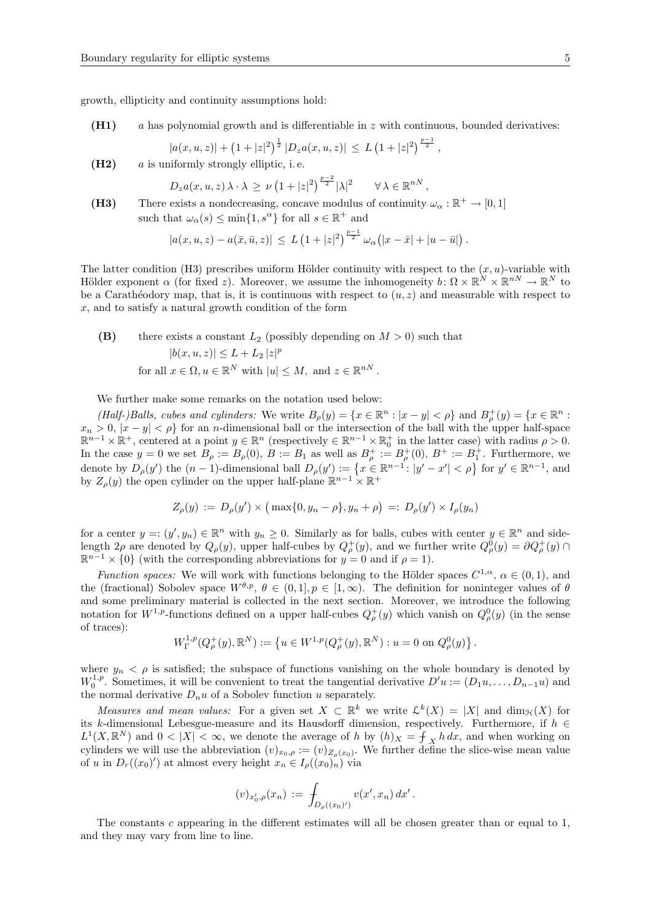growth, ellipticity and continuity assumptions hold:

 $(H1)$  a has polynomial growth and is differentiable in z with continuous, bounded derivatives:

$$
|a(x,u,z)| + (1+|z|^2)^{\frac{1}{2}} |D_z a(x,u,z)| \leq L (1+|z|^2)^{\frac{p-1}{2}},
$$

 $(H2)$  a is uniformly strongly elliptic, i.e.

$$
D_z a(x, u, z) \lambda \cdot \lambda \ge \nu \left( 1 + |z|^2 \right)^{\frac{p-2}{2}} |\lambda|^2 \qquad \forall \lambda \in \mathbb{R}^{nN},
$$

(H3) There exists a nondecreasing, concave modulus of continuity  $\omega_{\alpha} : \mathbb{R}^+ \to [0,1]$ such that  $\omega_{\alpha}(s) \le \min\{1, s^{\alpha}\}\)$  for all  $s \in \mathbb{R}^+$  and

$$
|a(x, u, z) - a(\bar{x}, \bar{u}, z)| \leq L \left(1 + |z|^2\right)^{\frac{p-1}{2}} \omega_{\alpha}(|x - \bar{x}| + |u - \bar{u}|\right).
$$

The latter condition (H3) prescribes uniform Hölder continuity with respect to the  $(x, u)$ -variable with Hölder exponent  $\alpha$  (for fixed z). Moreover, we assume the inhomogeneity  $b: \Omega \times \mathbb{R}^N \times \mathbb{R}^{nN} \to \mathbb{R}^N$  to be a Carathéodory map, that is, it is continuous with respect to  $(u, z)$  and measurable with respect to  $x$ , and to satisfy a natural growth condition of the form

(B) there exists a constant  $L_2$  (possibly depending on  $M > 0$ ) such that  $|b(x, u, z)| \leq L + L_2 |z|^p$ for all  $x \in \Omega, u \in \mathbb{R}^N$  with  $|u| \leq M$ , and  $z \in \mathbb{R}^{nN}$ .

We further make some remarks on the notation used below:

(Half-)Balls, cubes and cylinders: We write  $B_{\rho}(y) = \{x \in \mathbb{R}^n : |x - y| < \rho\}$  and  $B_{\rho}^+(y) = \{x \in \mathbb{R}^n : |x - y| < \rho\}$  $x_n > 0, |x - y| < \rho$  for an *n*-dimensional ball or the intersection of the ball with the upper half-space  $\mathbb{R}^{n-1}\times\mathbb{R}^+$ , centered at a point  $y\in\mathbb{R}^n$  (respectively  $\in\mathbb{R}^{n-1}\times\mathbb{R}_0^+$  in the latter case) with radius  $\rho>0$ . In the case  $y = 0$  we set  $B_\rho := B_\rho(0)$ ,  $B := B_1$  as well as  $B_\rho^+ := B_\rho^+(0)$ ,  $B^+ := B_1^+$ . Furthermore, we denote by  $D_{\rho}(y')$  the  $(n-1)$ -dimensional ball  $D_{\rho}(y') := \{x \in \mathbb{R}^{n-1} : |y'-x'| < \rho\}$  for  $y' \in \mathbb{R}^{n-1}$ , and by  $Z_{\rho}(y)$  the open cylinder on the upper half-plane  $\mathbb{R}^{n-1} \times \mathbb{R}^+$ 

$$
Z_{\rho}(y) := D_{\rho}(y') \times (\max\{0, y_n - \rho\}, y_n + \rho) =: D_{\rho}(y') \times I_{\rho}(y_n)
$$

for a center  $y = (y', y_n) \in \mathbb{R}^n$  with  $y_n \geq 0$ . Similarly as for balls, cubes with center  $y \in \mathbb{R}^n$  and sidelength  $2\rho$  are denoted by  $Q_{\rho}(y)$ , upper half-cubes by  $Q_{\rho}^+(y)$ , and we further write  $Q_{\rho}^0(y) = \partial Q_{\rho}^+(y) \cap$  $\mathbb{R}^{n-1} \times \{0\}$  (with the corresponding abbreviations for  $y = 0$  and if  $\rho = 1$ ).

Function spaces: We will work with functions belonging to the Hölder spaces  $C^{1,\alpha}$ ,  $\alpha \in (0,1)$ , and the (fractional) Sobolev space  $W^{\theta,p}, \theta \in (0,1], p \in [1,\infty)$ . The definition for noninteger values of  $\theta$ and some preliminary material is collected in the next section. Moreover, we introduce the following notation for  $W^{1,p}$ -functions defined on a upper half-cubes  $Q^+_\rho(y)$  which vanish on  $Q^0_\rho(y)$  (in the sense of traces):

$$
W^{1,p}_\Gamma(Q^+_{\rho}(y),{\mathbb R}^N):=\left\{u\in W^{1,p}(Q^+_{\rho}(y),{\mathbb R}^N):u=0\,\,{\rm on}\,\,Q^0_{\rho}(y)\right\}.
$$

where  $y_n < \rho$  is satisfied; the subspace of functions vanishing on the whole boundary is denoted by  $W_0^{1,p}$ . Sometimes, it will be convenient to treat the tangential derivative  $D'u := (D_1u, \ldots, D_{n-1}u)$  and the normal derivative  $D_n u$  of a Sobolev function u separately.

Measures and mean values: For a given set  $X \subset \mathbb{R}^k$  we write  $\mathcal{L}^k(X) = |X|$  and  $\dim_{\mathcal{H}}(X)$  for its k-dimensional Lebesgue-measure and its Hausdorff dimension, respectively. Furthermore, if  $h \in$  $L^1(X, \mathbb{R}^N)$  and  $0 < |X| < \infty$ , we denote the average of h by  $(h)_X = \frac{1}{f_X} h \, dx$ , and when working on cylinders we will use the abbreviation  $(v)_{x_0,\rho} := (v)_{Z_\rho(x_0)}$ . We further define the slice-wise mean value of u in  $D_r((x_0)')$  at almost every height  $x_n \in I_\rho((x_0)_n)$  via

$$
(v)_{x'_0,\rho}(x_n) := \int_{D_{\rho}((x_0)')}\, v(x',x_n)\, dx' \, .
$$

The constants c appearing in the different estimates will all be chosen greater than or equal to 1, and they may vary from line to line.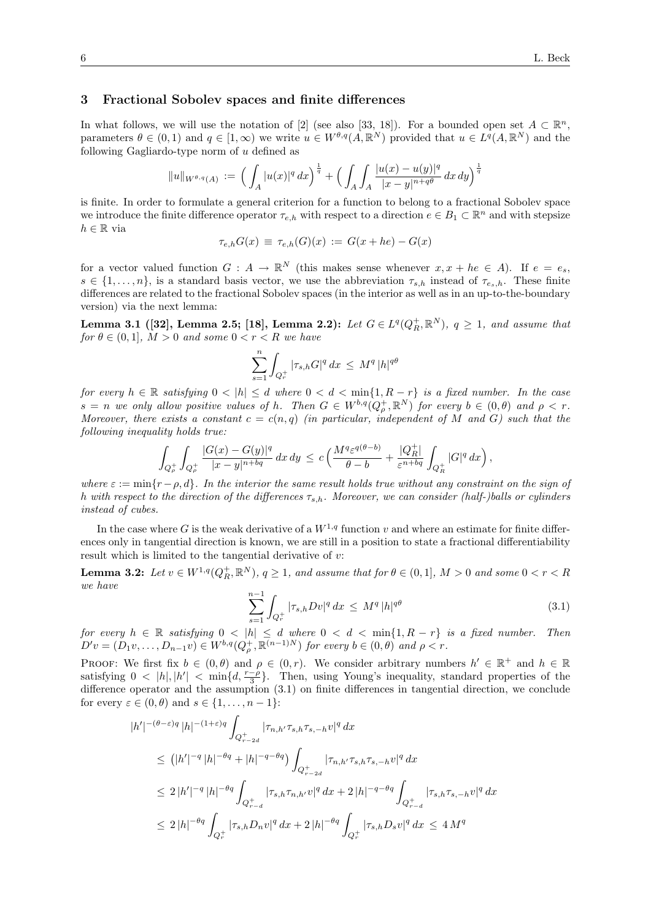## 3 Fractional Sobolev spaces and finite differences

In what follows, we will use the notation of [2] (see also [33, 18]). For a bounded open set  $A \subset \mathbb{R}^n$ , parameters  $\theta \in (0,1)$  and  $q \in [1,\infty)$  we write  $u \in W^{\theta,q}(A,\mathbb{R}^N)$  provided that  $u \in L^q(A,\mathbb{R}^N)$  and the following Gagliardo-type norm of u defined as

$$
||u||_{W^{\theta,q}(A)} := \left(\int_A |u(x)|^q dx\right)^{\frac{1}{q}} + \left(\int_A \int_A \frac{|u(x) - u(y)|^q}{|x - y|^{n + q\theta}} dx dy\right)^{\frac{1}{q}}
$$

is finite. In order to formulate a general criterion for a function to belong to a fractional Sobolev space we introduce the finite difference operator  $\tau_{e,h}$  with respect to a direction  $e \in B_1 \subset \mathbb{R}^n$  and with stepsize  $h \in \mathbb{R}$  via

 $\tau_{e,h}G(x) \equiv \tau_{e,h}(G)(x) := G(x+he) - G(x)$ 

for a vector valued function  $G: A \to \mathbb{R}^N$  (this makes sense whenever  $x, x + he \in A$ ). If  $e = e_s$ ,  $s \in \{1, \ldots, n\}$ , is a standard basis vector, we use the abbreviation  $\tau_{s,h}$  instead of  $\tau_{e_s,h}$ . These finite differences are related to the fractional Sobolev spaces (in the interior as well as in an up-to-the-boundary version) via the next lemma:

**Lemma 3.1 ([32], Lemma 2.5; [18], Lemma 2.2):** Let  $G \in L^q(Q_R^+, \mathbb{R}^N)$ ,  $q \ge 1$ , and assume that for  $\theta \in (0,1], M > 0$  and some  $0 < r < R$  we have

$$
\sum_{s=1}^{n} \int_{Q_r^+} |\tau_{s,h} G|^q \, dx \, \leq \, M^q \, |h|^{q\theta}
$$

for every  $h \in \mathbb{R}$  satisfying  $0 < |h| \le d$  where  $0 < d < \min\{1, R - r\}$  is a fixed number. In the case  $s = n$  we only allow positive values of h. Then  $G \in W^{b,q}(Q_\rho^+, \mathbb{R}^N)$  for every  $b \in (0, \theta)$  and  $\rho < r$ . Moreover, there exists a constant  $c = c(n, q)$  (in particular, independent of M and G) such that the following inequality holds true:

$$
\int_{Q_\rho^+} \int_{Q_\rho^+} \frac{|G(x)-G(y)|^q}{|x-y|^{n+ bq}} dx dy \le c \left( \frac{M^q \varepsilon^{q(\theta-b)}}{\theta-b} + \frac{|Q_R^+|}{\varepsilon^{n+bq}} \int_{Q_R^+} |G|^q dx \right),
$$

where  $\varepsilon := \min\{r - \rho, d\}$ . In the interior the same result holds true without any constraint on the sign of h with respect to the direction of the differences  $\tau_{s,h}$ . Moreover, we can consider (half-)balls or cylinders instead of cubes.

In the case where G is the weak derivative of a  $W^{1,q}$  function v and where an estimate for finite differences only in tangential direction is known, we are still in a position to state a fractional differentiability result which is limited to the tangential derivative of  $v$ :

**Lemma 3.2:** Let  $v \in W^{1,q}(Q_R^+, \mathbb{R}^N)$ ,  $q \ge 1$ , and assume that for  $\theta \in (0,1]$ ,  $M > 0$  and some  $0 < r < R$ we have

$$
\sum_{s=1}^{n-1} \int_{Q_r^+} |\tau_{s,h} D v|^q \, dx \le M^q \, |h|^{q\theta} \tag{3.1}
$$

for every  $h \in \mathbb{R}$  satisfying  $0 < |h| \leq d$  where  $0 < d < \min\{1, R - r\}$  is a fixed number. Then  $D'v = (D_1v, \ldots, D_{n-1}v) \in W^{b,q}(Q^+_{\rho}, \mathbb{R}^{(n-1)N})$  for every  $b \in (0,\theta)$  and  $\rho < r$ .

PROOF: We first fix  $b \in (0, \theta)$  and  $\rho \in (0, r)$ . We consider arbitrary numbers  $h' \in \mathbb{R}^+$  and  $h \in \mathbb{R}$ satisfying  $0 < |h|, |h'| < \min\{d, \frac{r-\rho}{3}\}\.$  Then, using Young's inequality, standard properties of the difference operator and the assumption (3.1) on finite differences in tangential direction, we conclude for every  $\varepsilon \in (0, \theta)$  and  $s \in \{1, \ldots, n-1\}$ :

$$
|h'|^{-(\theta-\varepsilon)q} |h|^{-(1+\varepsilon)q} \int_{Q_{r-2d}^+} |\tau_{n,h'} \tau_{s,h} \tau_{s,-h} v|^q dx
$$
  
\n
$$
\leq (|h'|^{-q} |h|^{-\theta q} + |h|^{-q-\theta q}) \int_{Q_{r-2d}^+} |\tau_{n,h'} \tau_{s,h} \tau_{s,-h} v|^q dx
$$
  
\n
$$
\leq 2 |h'|^{-q} |h|^{-\theta q} \int_{Q_{r-d}^+} |\tau_{s,h} \tau_{n,h'} v|^q dx + 2 |h|^{-q-\theta q} \int_{Q_{r-d}^+} |\tau_{s,h} \tau_{s,-h} v|^q dx
$$
  
\n
$$
\leq 2 |h|^{-\theta q} \int_{Q_r^+} |\tau_{s,h} D_n v|^q dx + 2 |h|^{-\theta q} \int_{Q_r^+} |\tau_{s,h} D_s v|^q dx \leq 4 M^q
$$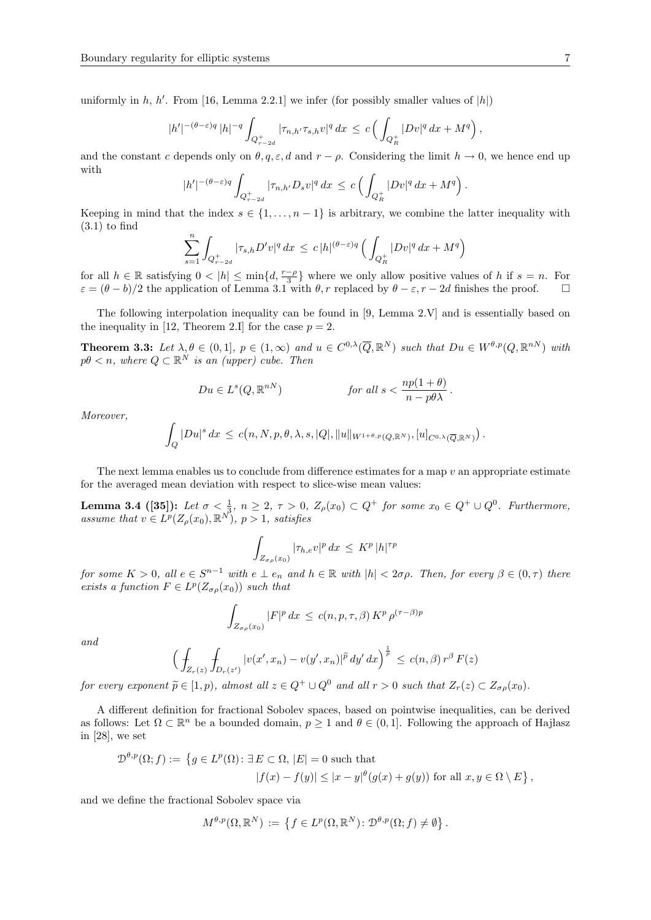uniformly in  $h, h'$ . From [16, Lemma 2.2.1] we infer (for possibly smaller values of  $|h|$ )

$$
|h'|^{-(\theta-\varepsilon)q} |h|^{-q} \int_{Q_{r-2d}^+} |\tau_{n,h'}\tau_{s,h}v|^q dx \le c \left( \int_{Q_R^+} |Dv|^q dx + M^q \right),
$$

and the constant c depends only on  $\theta, q, \varepsilon, d$  and  $r - \rho$ . Considering the limit  $h \to 0$ , we hence end up with

$$
|h'|^{-(\theta-\varepsilon)q} \int_{Q_{r-2d}^+} |\tau_{n,h'}D_s v|^q dx \le c \left( \int_{Q_R^+} |D v|^q dx + M^q \right)
$$

Keeping in mind that the index  $s \in \{1, \ldots, n-1\}$  is arbitrary, we combine the latter inequality with  $(3.1)$  to find

$$
\sum_{s=1}^{n} \int_{Q_{r-2d}^{+}} |\tau_{s,h} D'v|^{q} dx \leq c |h|^{(\theta-\varepsilon)q} \left( \int_{Q_{R}^{+}} |Dv|^{q} dx + M^{q} \right)
$$

for all  $h \in \mathbb{R}$  satisfying  $0 < |h| \le \min\{d, \frac{r-\rho}{3}\}\$  where we only allow positive values of h if  $s = n$ . For  $\varepsilon = (\theta - b)/2$  the application of Lemma 3.1 with  $\theta, r$  replaced by  $\theta - \varepsilon, r - 2d$  finishes the proof.  $\square$ 

The following interpolation inequality can be found in [9, Lemma 2.V] and is essentially based on the inequality in [12, Theorem 2.I] for the case  $p = 2$ .

**Theorem 3.3:** Let  $\lambda, \theta \in (0,1], p \in (1,\infty)$  and  $u \in C^{0,\lambda}(\overline{Q}, \mathbb{R}^N)$  such that  $Du \in W^{\theta,p}(Q, \mathbb{R}^{nN})$  with  $p\theta < n$ , where  $Q \subset \mathbb{R}^N$  is an (upper) cube. Then

$$
Du \in L^{s}(Q, \mathbb{R}^{nN}) \qquad \text{for all } s < \frac{np(1+\theta)}{n-p\theta\lambda}.
$$

Moreover,

$$
\int_{Q} |Du|^{s} dx \leq c(n, N, p, \theta, \lambda, s, |Q|, \|u\|_{W^{1+\theta,p}(Q, \mathbb{R}^{N})}, [u]_{C^{0,\lambda}(\overline{Q}, \mathbb{R}^{N})}) .
$$

The next lemma enables us to conclude from difference estimates for a map  $v$  an appropriate estimate for the averaged mean deviation with respect to slice-wise mean values:

**Lemma 3.4 ([35]):** Let  $\sigma < \frac{1}{3}$ ,  $n \geq 2$ ,  $\tau > 0$ ,  $Z_{\rho}(x_0) \subset Q^+$  for some  $x_0 \in Q^+ \cup Q^0$ . Furthermore, assume that  $v \in L^p(Z_\rho(x_0), \mathbb{R}^N)$ ,  $p > 1$ , satisfies

$$
\int_{Z_{\sigma\rho}(x_0)} |\tau_{h,e}v|^p\,dx \leq K^p\,|h|^{\tau p}
$$

for some  $K > 0$ , all  $e \in S^{n-1}$  with  $e \perp e_n$  and  $h \in \mathbb{R}$  with  $|h| < 2\sigma\rho$ . Then, for every  $\beta \in (0, \tau)$  there exists a function  $F \in L^p(Z_{\sigma \rho}(x_0))$  such that

$$
\int_{Z_{\sigma\rho}(x_0)} |F|^p dx \le c(n, p, \tau, \beta) K^p \rho^{(\tau-\beta)p}
$$

and

$$
\Big(\int_{Z_r(z)}\int_{D_r(z')}|v(x',x_n)-v(y',x_n)|^{\widetilde{p}}\,dy'\,dx\Big)^{\frac{1}{\widetilde{p}}}\,\le\,c(n,\beta)\,r^{\beta}\,F(z)
$$

for every exponent  $\widetilde{p} \in [1, p)$ , almost all  $z \in Q^+ \cup Q^0$  and all  $r > 0$  such that  $Z_r(z) \subset Z_{\sigma \rho}(x_0)$ .

A different definition for fractional Sobolev spaces, based on pointwise inequalities, can be derived as follows: Let  $\Omega \subset \mathbb{R}^n$  be a bounded domain,  $p \geq 1$  and  $\theta \in (0, 1]$ . Following the approach of Hajlasz in [28], we set

$$
\mathcal{D}^{\theta,p}(\Omega;f) := \left\{ g \in L^p(\Omega) : \exists E \subset \Omega, |E| = 0 \text{ such that } \right\}
$$

$$
|f(x) - f(y)| \le |x - y|^{\theta}(g(x) + g(y)) \text{ for all } x, y \in \Omega \setminus E \right\},\
$$

and we define the fractional Sobolev space via

$$
M^{\theta,p}(\Omega,\mathbb{R}^N) := \left\{ f \in L^p(\Omega,\mathbb{R}^N) \colon \mathcal{D}^{\theta,p}(\Omega;f) \neq \emptyset \right\}.
$$

.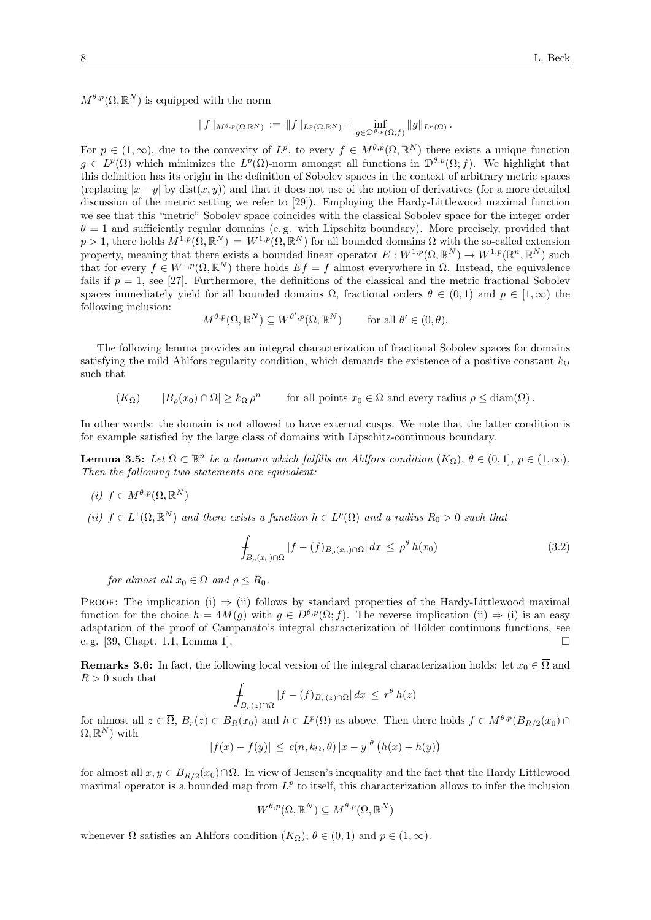$M^{\theta,p}(\Omega,\mathbb{R}^N)$  is equipped with the norm

$$
||f||_{M^{\theta,p}(\Omega,\mathbb{R}^N)} := ||f||_{L^p(\Omega,\mathbb{R}^N)} + \inf_{g \in \mathcal{D}^{\theta,p}(\Omega;f)} ||g||_{L^p(\Omega)}.
$$

For  $p \in (1,\infty)$ , due to the convexity of  $L^p$ , to every  $f \in M^{\theta,p}(\Omega,\mathbb{R}^N)$  there exists a unique function  $g \in L^p(\Omega)$  which minimizes the  $L^p(\Omega)$ -norm amongst all functions in  $\mathcal{D}^{\theta,p}(\Omega; f)$ . We highlight that this definition has its origin in the definition of Sobolev spaces in the context of arbitrary metric spaces (replacing  $|x - y|$  by dist $(x, y)$ ) and that it does not use of the notion of derivatives (for a more detailed discussion of the metric setting we refer to [29]). Employing the Hardy-Littlewood maximal function we see that this "metric" Sobolev space coincides with the classical Sobolev space for the integer order  $\theta = 1$  and sufficiently regular domains (e.g. with Lipschitz boundary). More precisely, provided that  $p > 1$ , there holds  $M^{1,p}(\Omega,\mathbb{R}^N) = W^{1,p}(\Omega,\mathbb{R}^N)$  for all bounded domains  $\Omega$  with the so-called extension property, meaning that there exists a bounded linear operator  $E: W^{1,p}(\Omega, \mathbb{R}^N) \to W^{1,p}(\mathbb{R}^n, \mathbb{R}^N)$  such that for every  $f \in W^{1,p}(\Omega,\mathbb{R}^N)$  there holds  $Ef = f$  almost everywhere in  $\Omega$ . Instead, the equivalence fails if  $p = 1$ , see [27]. Furthermore, the definitions of the classical and the metric fractional Sobolev spaces immediately yield for all bounded domains  $\Omega$ , fractional orders  $\theta \in (0,1)$  and  $p \in [1,\infty)$  the following inclusion:

$$
M^{\theta,p}(\Omega,\mathbb{R}^N) \subseteq W^{\theta',p}(\Omega,\mathbb{R}^N) \quad \text{for all } \theta' \in (0,\theta).
$$

The following lemma provides an integral characterization of fractional Sobolev spaces for domains satisfying the mild Ahlfors regularity condition, which demands the existence of a positive constant  $k_{\Omega}$ such that

$$
(K_{\Omega})
$$
  $|B_{\rho}(x_0) \cap \Omega| \ge k_{\Omega} \rho^n$  for all points  $x_0 \in \overline{\Omega}$  and every radius  $\rho \le \text{diam}(\Omega)$ .

In other words: the domain is not allowed to have external cusps. We note that the latter condition is for example satisfied by the large class of domains with Lipschitz-continuous boundary.

**Lemma 3.5:** Let  $\Omega \subset \mathbb{R}^n$  be a domain which fulfills an Ahlfors condition  $(K_{\Omega})$ ,  $\theta \in (0,1]$ ,  $p \in (1,\infty)$ . Then the following two statements are equivalent:

$$
(i) f \in M^{\theta, p}(\Omega, \mathbb{R}^N)
$$

(ii)  $f \in L^1(\Omega, \mathbb{R}^N)$  and there exists a function  $h \in L^p(\Omega)$  and a radius  $R_0 > 0$  such that

$$
\int_{B_{\rho}(x_0)\cap\Omega} |f - (f)_{B_{\rho}(x_0)\cap\Omega}| \, dx \le \rho^{\theta} h(x_0) \tag{3.2}
$$

for almost all  $x_0 \in \overline{\Omega}$  and  $\rho \leq R_0$ .

PROOF: The implication (i)  $\Rightarrow$  (ii) follows by standard properties of the Hardy-Littlewood maximal function for the choice  $h = 4M(g)$  with  $g \in D^{\theta,p}(\Omega; f)$ . The reverse implication (ii)  $\Rightarrow$  (i) is an easy adaptation of the proof of Campanato's integral characterization of Hölder continuous functions, see e. g. [39, Chapt. 1.1, Lemma 1].  $\square$ 

**Remarks 3.6:** In fact, the following local version of the integral characterization holds: let  $x_0 \in \overline{\Omega}$  and  $R > 0$  such that

$$
\int_{B_r(z)\cap\Omega} |f - (f)_{B_r(z)\cap\Omega}| dx \leq r^{\theta} h(z)
$$

for almost all  $z \in \overline{\Omega}$ ,  $B_r(z) \subset B_R(x_0)$  and  $h \in L^p(\Omega)$  as above. Then there holds  $f \in M^{\theta,p}(B_{R/2}(x_0) \cap$  $\Omega, \mathbb{R}^N$  with

$$
|f(x) - f(y)| \le c(n, k_{\Omega}, \theta) |x - y|^{\theta} (h(x) + h(y))
$$

for almost all  $x, y \in B_{R/2}(x_0) \cap \Omega$ . In view of Jensen's inequality and the fact that the Hardy Littlewood maximal operator is a bounded map from  $L^p$  to itself, this characterization allows to infer the inclusion

$$
W^{\theta,p}(\Omega,\mathbb{R}^N) \subseteq M^{\theta,p}(\Omega,\mathbb{R}^N)
$$

whenever  $\Omega$  satisfies an Ahlfors condition  $(K_{\Omega}), \theta \in (0,1)$  and  $p \in (1,\infty)$ .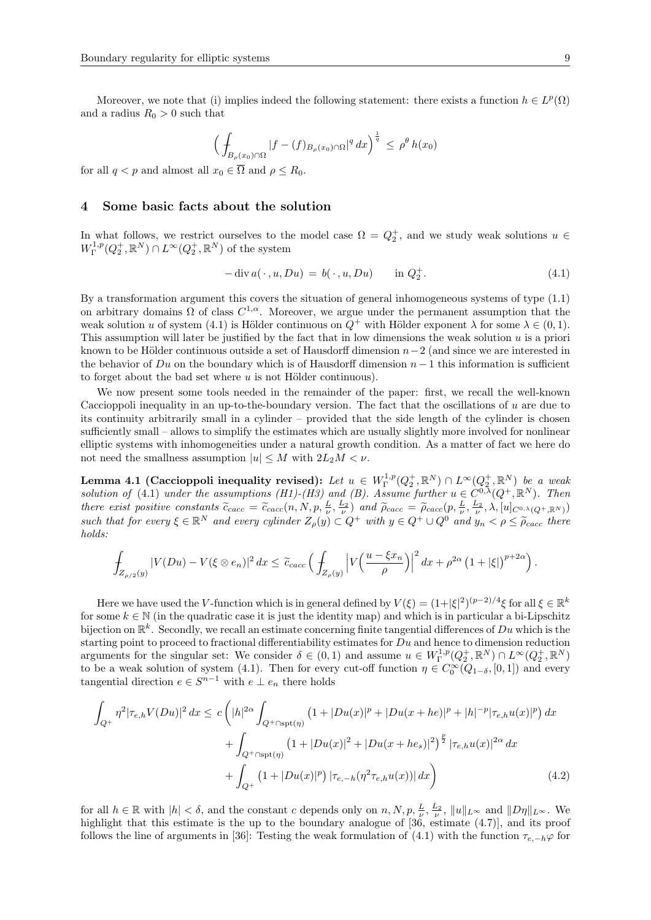$$
\Big(\int_{B_{\rho}(x_0)\cap\Omega} |f-(f)_{B_{\rho}(x_0)\cap\Omega}|^q\,dx\Big)^{\frac{1}{q}} \leq \rho^{\theta} h(x_0)
$$

for all  $q < p$  and almost all  $x_0 \in \overline{\Omega}$  and  $\rho \leq R_0$ .

### 4 Some basic facts about the solution

In what follows, we restrict ourselves to the model case  $\Omega = Q_2^+$ , and we study weak solutions  $u \in$  $W^{1,p}_\Gamma(Q_2^+,\mathbb R^N)\cap L^\infty(Q_2^+,\mathbb R^N)$  of the system

$$
-\operatorname{div} a(\,\cdot\,,u,Du) = b(\,\cdot\,,u,Du) \qquad \text{in } Q_2^+.
$$
 (4.1)

By a transformation argument this covers the situation of general inhomogeneous systems of type (1.1) on arbitrary domains  $\Omega$  of class  $C^{1,\alpha}$ . Moreover, we argue under the permanent assumption that the weak solution u of system (4.1) is Hölder continuous on  $Q^+$  with Hölder exponent  $\lambda$  for some  $\lambda \in (0,1)$ . This assumption will later be justified by the fact that in low dimensions the weak solution  $u$  is a priori known to be Hölder continuous outside a set of Hausdorff dimension  $n-2$  (and since we are interested in the behavior of Du on the boundary which is of Hausdorff dimension  $n-1$  this information is sufficient to forget about the bad set where  $u$  is not Hölder continuous).

We now present some tools needed in the remainder of the paper: first, we recall the well-known Caccioppoli inequality in an up-to-the-boundary version. The fact that the oscillations of  $u$  are due to its continuity arbitrarily small in a cylinder – provided that the side length of the cylinder is chosen sufficiently small – allows to simplify the estimates which are usually slightly more involved for nonlinear elliptic systems with inhomogeneities under a natural growth condition. As a matter of fact we here do not need the smallness assumption  $|u| \leq M$  with  $2L_2M < \nu$ .

Lemma 4.1 (Caccioppoli inequality revised): Let  $u \in W^{1,p}_\Gamma(Q_2^+, \mathbb R^N) \cap L^\infty(Q_2^+, \mathbb R^N)$  be a weak solution of (4.1) under the assumptions (H1)-(H3) and (B). Assume further  $u \in C^{0,\lambda}(Q^+,\mathbb{R}^N)$ . Then there exist positive constants  $\tilde{c}_{cacc} = \tilde{c}_{cacc}(n, N, p, \frac{L}{\nu}, \frac{L_2}{\nu})$  and  $\tilde{\rho}_{cacc} = \tilde{\rho}_{cacc}(p, \frac{L}{\nu}, \frac{L_2}{\nu}, \lambda, [u]_{C^{0,\lambda}(Q^+, \mathbb{R}^N)}]$ such that for every  $\xi \in \mathbb{R}^N$  and every cylinder  $Z_\rho(y) \subset Q^+$  with  $y \in Q^+ \cup Q^0$  and  $y_n < \rho \leq \tilde{\rho}_{cacc}$  there holds:

$$
\int_{Z_{\rho/2}(y)} |V(Du) - V(\xi \otimes e_n)|^2 dx \leq \tilde{c}_{cacc} \left( \int_{Z_{\rho}(y)} \left| V\left(\frac{u - \xi x_n}{\rho}\right) \right|^2 dx + \rho^{2\alpha} \left(1 + |\xi|\right)^{p+2\alpha} \right).
$$

Here we have used the V-function which is in general defined by  $V(\xi) = (1 + |\xi|^2)^{(p-2)/4} \xi$  for all  $\xi \in \mathbb{R}^k$ for some  $k \in \mathbb{N}$  (in the quadratic case it is just the identity map) and which is in particular a bi-Lipschitz bijection on  $\mathbb{R}^k$ . Secondly, we recall an estimate concerning finite tangential differences of  $Du$  which is the starting point to proceed to fractional differentiability estimates for  $Du$  and hence to dimension reduction arguments for the singular set: We consider  $\delta \in (0,1)$  and assume  $u \in W^{1,p}_\Gamma(Q_2^+,\mathbb{R}^N) \cap L^\infty(Q_2^+,\mathbb{R}^N)$ to be a weak solution of system (4.1). Then for every cut-off function  $\eta \in C_0^{\infty}(Q_{1-\delta}, [0,1])$  and every tangential direction  $e \in S^{n-1}$  with  $e \perp e_n$  there holds

$$
\int_{Q^{+}} \eta^{2} |\tau_{e,h} V(Du)|^{2} dx \leq c \left( |h|^{2\alpha} \int_{Q^{+} \cap \text{spt}(\eta)} (1 + |Du(x)|^{p} + |Du(x+he)|^{p} + |h|^{-p} |\tau_{e,h} u(x)|^{p}) dx + \int_{Q^{+} \cap \text{spt}(\eta)} (1 + |Du(x)|^{2} + |Du(x+he_{s})|^{2})^{\frac{p}{2}} |\tau_{e,h} u(x)|^{2\alpha} dx + \int_{Q^{+}} (1 + |Du(x)|^{p}) |\tau_{e,-h}(\eta^{2} \tau_{e,h} u(x))| dx \right)
$$
\n(4.2)

for all  $h \in \mathbb{R}$  with  $|h| < \delta$ , and the constant c depends only on  $n, N, p, \frac{L}{\nu}, \frac{L_2}{\nu}, \|u\|_{L^{\infty}}$  and  $||D\eta||_{L^{\infty}}$ . We highlight that this estimate is the up to the boundary analogue of [36, estimate  $(4.7)$ ], and its proof follows the line of arguments in [36]: Testing the weak formulation of (4.1) with the function  $\tau_{e,-h}\varphi$  for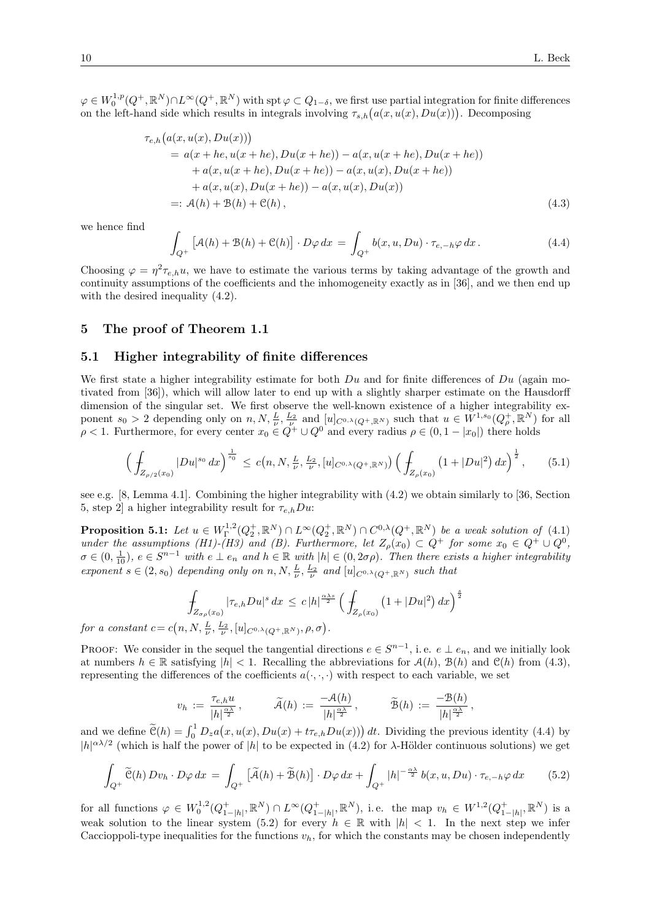$\varphi \in W_0^{1,p}(Q^+,\mathbb{R}^N) \cap L^\infty(Q^+,\mathbb{R}^N)$  with  $\operatorname{spt} \varphi \subset Q_{1-\delta}$ , we first use partial integration for finite differences on the left-hand side which results in integrals involving  $\tau_{s,h}(a(x, u(x), Du(x)))$ . Decomposing

$$
e_{,h}(a(x, u(x), Du(x)))
$$
  
=  $a(x + he, u(x + he), Du(x + he)) - a(x, u(x + he), Du(x + he))$   
 $+ a(x, u(x + he), Du(x + he)) - a(x, u(x), Du(x + he))$   
 $+ a(x, u(x), Du(x + he)) - a(x, u(x), Du(x))$   
=:  $A(h) + B(h) + C(h),$  (4.3)

we hence find

 $\tau$ 

$$
\int_{Q^+} \left[ \mathcal{A}(h) + \mathcal{B}(h) + \mathcal{C}(h) \right] \cdot D\varphi \, dx = \int_{Q^+} b(x, u, Du) \cdot \tau_{e, -h} \varphi \, dx \, . \tag{4.4}
$$

Choosing  $\varphi = \eta^2 \tau_{e,h} u$ , we have to estimate the various terms by taking advantage of the growth and continuity assumptions of the coefficients and the inhomogeneity exactly as in [36], and we then end up with the desired inequality  $(4.2)$ .

## 5 The proof of Theorem 1.1

## 5.1 Higher integrability of finite differences

We first state a higher integrability estimate for both  $Du$  and for finite differences of  $Du$  (again motivated from [36]), which will allow later to end up with a slightly sharper estimate on the Hausdorff dimension of the singular set. We first observe the well-known existence of a higher integrability exponent  $s_0 > 2$  depending only on  $n, N, \frac{L}{\nu}, \frac{L_2}{\nu}$  and  $[u]_{C^{0,\lambda}(Q^+,\mathbb{R}^N)}$  such that  $u \in W^{1,s_0}(Q^+_{\rho}, \mathbb{R}^N)$  for all  $\rho < 1$ . Furthermore, for every center  $x_0 \in Q^+ \cup Q^0$  and every radius  $\rho \in (0, 1 - |x_0|)$  there holds

$$
\left(\int_{Z_{\rho/2}(x_0)} |Du|^{s_0} \, dx\right)^{\frac{1}{s_0}} \le c\big(n, N, \frac{L}{\nu}, \frac{L_2}{\nu}, [u]_{C^{0,\lambda}(Q^+,\mathbb{R}^N)}\big) \left(\int_{Z_{\rho}(x_0)} \left(1 + |Du|^2\right) dx\right)^{\frac{1}{2}},\tag{5.1}
$$

see e.g. [8, Lemma 4.1]. Combining the higher integrability with (4.2) we obtain similarly to [36, Section 5, step 2 a higher integrability result for  $\tau_{e,h}Du$ :

**Proposition 5.1:** Let  $u \in W^{1,2}_\Gamma(Q_2^+, \mathbb{R}^N) \cap L^\infty(Q_2^+, \mathbb{R}^N) \cap C^{0,\lambda}(Q^+, \mathbb{R}^N)$  be a weak solution of (4.1) under the assumptions (H1)-(H3) and (B). Furthermore, let  $Z_{\rho}(x_0) \subset Q^+$  for some  $x_0 \in Q^+ \cup Q^0$ ,  $\sigma \in (0, \frac{1}{10}), e \in S^{n-1}$  with  $e \perp e_n$  and  $h \in \mathbb{R}$  with  $|h| \in (0, 2\sigma\rho)$ . Then there exists a higher integrability exponent  $s \in (2, s_0)$  depending only on  $n, N, \frac{L}{\nu}, \frac{L_2}{\nu}$  and  $[u]_{C^{0,\lambda}(Q^+,\mathbb{R}^N)}$  such that

$$
\int_{Z_{\sigma\rho}(x_0)} |\tau_{e,h}Du|^s \, dx \leq c |h|^{\frac{\alpha\lambda s}{2}} \left( \int_{Z_{\rho}(x_0)} \left( 1 + |Du|^2 \right) dx \right)^{\frac{s}{2}}
$$

for a constant  $c = c(n, N, \frac{L}{\nu}, \frac{L_2}{\nu}, [u]_{C^{0,\lambda}(Q^+,\mathbb{R}^N)}, \rho, \sigma)$ .

PROOF: We consider in the sequel the tangential directions  $e \in S^{n-1}$ , i.e.  $e \perp e_n$ , and we initially look at numbers  $h \in \mathbb{R}$  satisfying  $|h| < 1$ . Recalling the abbreviations for  $\mathcal{A}(h)$ ,  $\mathcal{B}(h)$  and  $\mathcal{C}(h)$  from (4.3), representing the differences of the coefficients  $a(\cdot, \cdot)$  with respect to each variable, we set

$$
v_h \; := \; \frac{\tau_{e,h} u}{|h|^{\frac{\alpha \lambda}{2}}}\,, \qquad \quad \widetilde{\mathcal{A}}(h) \; := \; \frac{-\mathcal{A}(h)}{|h|^{\frac{\alpha \lambda}{2}}}\,, \qquad \quad \widetilde{\mathcal{B}}(h) \; := \; \frac{-\mathcal{B}(h)}{|h|^{\frac{\alpha \lambda}{2}}}\,,
$$

and we define  $\tilde{\mathcal{C}}(h) = \int_0^1 D_z a(x, u(x), Du(x) + t\tau_{e,h} Du(x))) dt$ . Dividing the previous identity (4.4) by  $|h|^{\alpha\lambda/2}$  (which is half the power of |h| to be expected in (4.2) for  $\lambda$ -Hölder continuous solutions) we get

$$
\int_{Q^+} \widetilde{\mathcal{C}}(h) Dv_h \cdot D\varphi \, dx = \int_{Q^+} \left[ \widetilde{\mathcal{A}}(h) + \widetilde{\mathcal{B}}(h) \right] \cdot D\varphi \, dx + \int_{Q^+} |h|^{-\frac{\alpha \lambda}{2}} b(x, u, Du) \cdot \tau_{e, -h} \varphi \, dx \tag{5.2}
$$

for all functions  $\varphi \in W_0^{1,2}(Q^+_{1-|h|}, \mathbb{R}^N) \cap L^{\infty}(Q^+_{1-|h|}, \mathbb{R}^N)$ , i.e. the map  $v_h \in W^{1,2}(Q^+_{1-|h|}, \mathbb{R}^N)$  is a weak solution to the linear system (5.2) for every  $h \in \mathbb{R}$  with  $|h| < 1$ . In the next step we infer Caccioppoli-type inequalities for the functions  $v_h$ , for which the constants may be chosen independently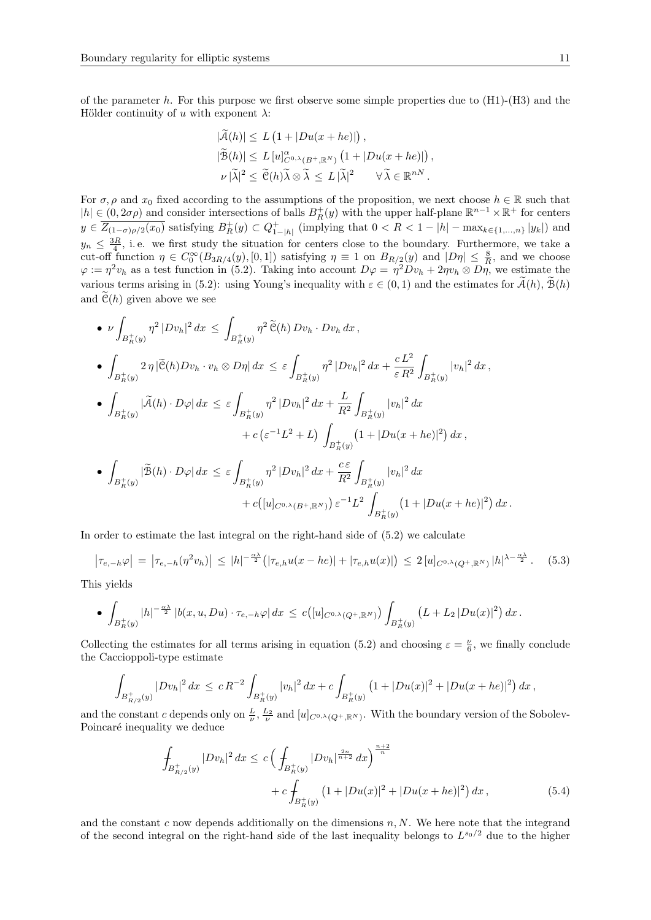of the parameter h. For this purpose we first observe some simple properties due to  $(H1)-(H3)$  and the Hölder continuity of u with exponent  $\lambda$ :

$$
|\tilde{\mathcal{A}}(h)| \le L \left(1 + |Du(x + he)|\right),
$$
  

$$
|\tilde{\mathcal{B}}(h)| \le L \left[u\right]_{C^{0,\lambda}(B^+, \mathbb{R}^N)}^{\alpha} \left(1 + |Du(x + he)|\right),
$$
  

$$
\nu |\tilde{\lambda}|^2 \le \tilde{\mathcal{C}}(h)\tilde{\lambda} \otimes \tilde{\lambda} \le L |\tilde{\lambda}|^2 \qquad \forall \tilde{\lambda} \in \mathbb{R}^{nN}.
$$

,

For  $\sigma, \rho$  and  $x_0$  fixed according to the assumptions of the proposition, we next choose  $h \in \mathbb{R}$  such that  $|h| \in (0, 2\sigma\rho)$  and consider intersections of balls  $B_R^+(y)$  with the upper half-plane  $\mathbb{R}^{n-1} \times \mathbb{R}^+$  for centers  $y \in \overline{Z_{(1-\sigma)\rho/2}(x_0)}$  satisfying  $B_R^+(y) \subset Q_{1-|h|}^+$  (implying that  $0 < R < 1-|h| - \max_{k \in \{1,\ldots,n\}} |y_k|$ ) and  $y_n \leq \frac{3R}{4}$ , i.e. we first study the situation for centers close to the boundary. Furthermore, we take a cut-off function  $\eta \in C_0^{\infty}(B_{3R/4}(y), [0,1])$  satisfying  $\eta \equiv 1$  on  $B_{R/2}(y)$  and  $|D\eta| \leq \frac{8}{R}$ , and we choose  $\varphi := \eta^2 v_h$  as a test function in (5.2). Taking into account  $D\varphi = \eta^2 D v_h + 2\eta v_h \otimes D\eta$ , we estimate the various terms arising in (5.2): using Young's inequality with  $\varepsilon \in (0,1)$  and the estimates for  $\mathcal{A}(h)$ ,  $\mathcal{B}(h)$ and  $\tilde{\mathcal{C}}(h)$  given above we see

$$
\begin{split}\n&\bullet \nu \int_{B_R^+(y)} \eta^2 |Dv_h|^2 \, dx \leq \int_{B_R^+(y)} \eta^2 \widetilde{\mathcal{C}}(h) Dv_h \cdot Dv_h \, dx, \\
&\bullet \int_{B_R^+(y)} 2\eta |\widetilde{\mathcal{C}}(h) Dv_h \cdot v_h \otimes D\eta| \, dx \leq \varepsilon \int_{B_R^+(y)} \eta^2 |Dv_h|^2 \, dx + \frac{cL^2}{\varepsilon R^2} \int_{B_R^+(y)} |v_h|^2 \, dx, \\
&\bullet \int_{B_R^+(y)} |\widetilde{\mathcal{A}}(h) \cdot D\varphi| \, dx \leq \varepsilon \int_{B_R^+(y)} \eta^2 |Dv_h|^2 \, dx + \frac{L}{R^2} \int_{B_R^+(y)} |v_h|^2 \, dx \\
&\quad + c \left( \varepsilon^{-1} L^2 + L \right) \int_{B_R^+(y)} \left( 1 + |Du(x + he)|^2 \right) \, dx, \\
&\bullet \int_{B_R^+(y)} |\widetilde{\mathcal{B}}(h) \cdot D\varphi| \, dx \leq \varepsilon \int_{B_R^+(y)} \eta^2 |Dv_h|^2 \, dx + \frac{c\varepsilon}{R^2} \int_{B_R^+(y)} |v_h|^2 \, dx \\
&\quad + c \left( [u]_{C^0, \lambda(B^+, \mathbb{R}^N)} \right) \varepsilon^{-1} L^2 \int_{B_R^+(y)} \left( 1 + |Du(x + he)|^2 \right) \, dx.\n\end{split}
$$

In order to estimate the last integral on the right-hand side of (5.2) we calculate

$$
\left|\tau_{e,-h}\varphi\right| = \left|\tau_{e,-h}(\eta^2 v_h)\right| \le |h|^{-\frac{\alpha\lambda}{2}} \left(|\tau_{e,h}u(x-he)| + |\tau_{e,h}u(x)|\right) \le 2\left[u\right]_{C^{0,\lambda}(Q^+,\mathbb{R}^N)} |h|^{\lambda-\frac{\alpha\lambda}{2}}. \tag{5.3}
$$

This yields

• 
$$
\int_{B_R^+(y)} |h|^{-\frac{\alpha\lambda}{2}} |b(x,u,Du)\cdot\tau_{e,-h}\varphi| dx \leq c([u]_{C^{0,\lambda}(Q^+,\mathbb{R}^N)}) \int_{B_R^+(y)} (L+L_2 |Du(x)|^2) dx.
$$

Collecting the estimates for all terms arising in equation (5.2) and choosing  $\varepsilon = \frac{\nu}{6}$ , we finally conclude the Caccioppoli-type estimate

$$
\int_{B_{R/2}^+(y)} |Dv_h|^2\,dx \le c\,R^{-2}\int_{B_R^+(y)} |v_h|^2\,dx + c\int_{B_R^+(y)} \left(1+|Du(x)|^2+|Du(x+he)|^2\right)dx\,,
$$

and the constant c depends only on  $\frac{L}{\nu}$ ,  $\frac{L_2}{\nu}$  and  $[u]_{C^{0,\lambda}(Q^+,\mathbb{R}^N)}$ . With the boundary version of the Sobolev-Poincaré inequality we deduce

$$
\int_{B_{R/2}^+(y)} |Dv_h|^2 dx \le c \left( \int_{B_R^+(y)} |Dv_h|^{\frac{2n}{n+2}} dx \right)^{\frac{n+2}{n}} + c \int_{B_R^+(y)} \left( 1 + |Du(x)|^2 + |Du(x+he)|^2 \right) dx,
$$
\n(5.4)

and the constant c now depends additionally on the dimensions  $n, N$ . We here note that the integrand of the second integral on the right-hand side of the last inequality belongs to  $L^{s_0/2}$  due to the higher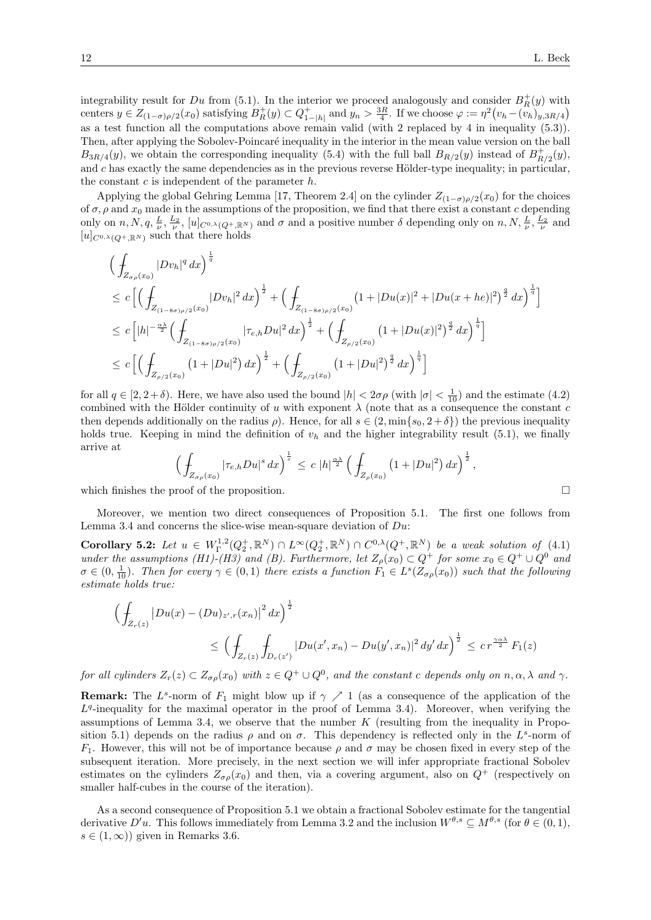integrability result for Du from (5.1). In the interior we proceed analogously and consider  $B_R^+(y)$  with centers  $y \in Z_{(1-\sigma)\rho/2}(x_0)$  satisfying  $B_R^+(y) \subset Q_{1-|h|}^+$  and  $y_n > \frac{3R}{4}$ . If we choose  $\varphi := \eta^2 \left(v_h - \left(v_h\right)_{y,3R/4}\right)$ as a test function all the computations above remain valid (with 2 replaced by 4 in inequality (5.3)). Then, after applying the Sobolev-Poincaré inequality in the interior in the mean value version on the ball  $B_{3R/4}(y)$ , we obtain the corresponding inequality (5.4) with the full ball  $B_{R/2}(y)$  instead of  $B_{R/2}^+(y)$ , and c has exactly the same dependencies as in the previous reverse Hölder-type inequality; in particular, the constant  $c$  is independent of the parameter  $h$ .

Applying the global Gehring Lemma [17, Theorem 2.4] on the cylinder  $Z_{(1-\sigma)\rho/2}(x_0)$  for the choices of  $\sigma$ ,  $\rho$  and  $x_0$  made in the assumptions of the proposition, we find that there exist a constant c depending only on  $n, N, q, \frac{L}{\nu}, \frac{L_2}{\nu}, [u]_{C^{0,\lambda}(Q^+,\mathbb{R}^N)}$  and  $\sigma$  and a positive number  $\delta$  depending only on  $n, N, \frac{L}{\nu}, \frac{L_2}{\nu}$  and  $[u]_{C^{0,\lambda}(Q^+,\mathbb{R}^N)}$  such that there holds

$$
\begin{split}\n&\Big(\int_{Z_{\sigma\rho}(x_0)} |Dv_h|^q \,dx\Big)^{\frac{1}{q}} \\
&\leq c\Big[\Big(\int_{Z_{(1-8\sigma)\rho/2}(x_0)} |Dv_h|^2 \,dx\Big)^{\frac{1}{2}} + \Big(\int_{Z_{(1-8\sigma)\rho/2}(x_0)} (1+|Du(x)|^2+|Du(x+he)|^2)^{\frac{q}{2}} \,dx\Big)^{\frac{1}{q}}\Big] \\
&\leq c\Big[|h|^{-\frac{\alpha\lambda}{2}} \Big(\int_{Z_{(1-8\sigma)\rho/2}(x_0)} |\tau_{e,h}Du|^2 \,dx\Big)^{\frac{1}{2}} + \Big(\int_{Z_{\rho/2}(x_0)} (1+|Du(x)|^2)^{\frac{q}{2}} \,dx\Big)^{\frac{1}{q}}\Big] \\
&\leq c\Big[\Big(\int_{Z_{\rho/2}(x_0)} (1+|Du|^2) \,dx\Big)^{\frac{1}{2}} + \Big(\int_{Z_{\rho/2}(x_0)} (1+|Du|^2)^{\frac{q}{2}} \,dx\Big)^{\frac{1}{q}}\Big]\n\end{split}
$$

for all  $q \in [2, 2 + \delta)$ . Here, we have also used the bound  $|h| < 2\sigma\rho$  (with  $|\sigma| < \frac{1}{10}$ ) and the estimate (4.2) combined with the Hölder continuity of u with exponent  $\lambda$  (note that as a consequence the constant c then depends additionally on the radius  $\rho$ . Hence, for all  $s \in (2, \min\{s_0, 2 + \delta\})$  the previous inequality holds true. Keeping in mind the definition of  $v<sub>h</sub>$  and the higher integrability result (5.1), we finally arrive at

$$
\left(\int_{Z_{\sigma\rho}(x_0)}|\tau_{e,h}Du|^s\,dx\right)^{\frac{1}{s}} \le c\ |h|^{\frac{\alpha\lambda}{2}}\left(\int_{Z_{\rho}(x_0)}\left(1+|Du|^2\right)dx\right)^{\frac{1}{2}},
$$
\nwhich finishes the proof of the proposition.

Moreover, we mention two direct consequences of Proposition 5.1. The first one follows from Lemma 3.4 and concerns the slice-wise mean-square deviation of  $Du$ :

Corollary 5.2: Let  $u \in W^{1,2}_\Gamma(Q_2^+, \mathbb{R}^N) \cap L^\infty(Q_2^+, \mathbb{R}^N) \cap C^{0,\lambda}(Q^+, \mathbb{R}^N)$  be a weak solution of (4.1) under the assumptions (H1)-(H3) and (B). Furthermore, let  $Z_{\rho}(x_0) \subset Q^+$  for some  $x_0 \in Q^+ \cup Q^0$  and  $\sigma \in (0, \frac{1}{10})$ . Then for every  $\gamma \in (0, 1)$  there exists a function  $F_1 \in L^s(Z_{\sigma \rho}(x_0))$  such that the following estimate holds true:

$$
\left(\int_{Z_r(z)} |Du(x) - (Du)_{z',r}(x_n)|^2 dx\right)^{\frac{1}{2}}\n\le \left(\int_{Z_r(z)} \int_{D_r(z')} |Du(x',x_n) - Du(y',x_n)|^2 dy' dx\right)^{\frac{1}{2}} \le c r^{\frac{\gamma \alpha \lambda}{2}} F_1(z)
$$

for all cylinders  $Z_r(z) \subset Z_{\sigma \rho}(x_0)$  with  $z \in Q^+ \cup Q^0$ , and the constant c depends only on  $n, \alpha, \lambda$  and  $\gamma$ .

**Remark:** The  $L^s$ -norm of  $F_1$  might blow up if  $\gamma \nearrow 1$  (as a consequence of the application of the  $L<sup>q</sup>$ -inequality for the maximal operator in the proof of Lemma 3.4). Moreover, when verifying the assumptions of Lemma 3.4, we observe that the number  $K$  (resulting from the inequality in Proposition 5.1) depends on the radius  $\rho$  and on  $\sigma$ . This dependency is reflected only in the  $L^s$ -norm of  $F_1$ . However, this will not be of importance because  $\rho$  and  $\sigma$  may be chosen fixed in every step of the subsequent iteration. More precisely, in the next section we will infer appropriate fractional Sobolev estimates on the cylinders  $Z_{\sigma\rho}(x_0)$  and then, via a covering argument, also on  $Q^+$  (respectively on smaller half-cubes in the course of the iteration).

As a second consequence of Proposition 5.1 we obtain a fractional Sobolev estimate for the tangential derivative D'u. This follows immediately from Lemma 3.2 and the inclusion  $W^{\theta,s} \subseteq M^{\theta,s}$  (for  $\theta \in (0,1)$ ,  $s \in (1,\infty)$  given in Remarks 3.6.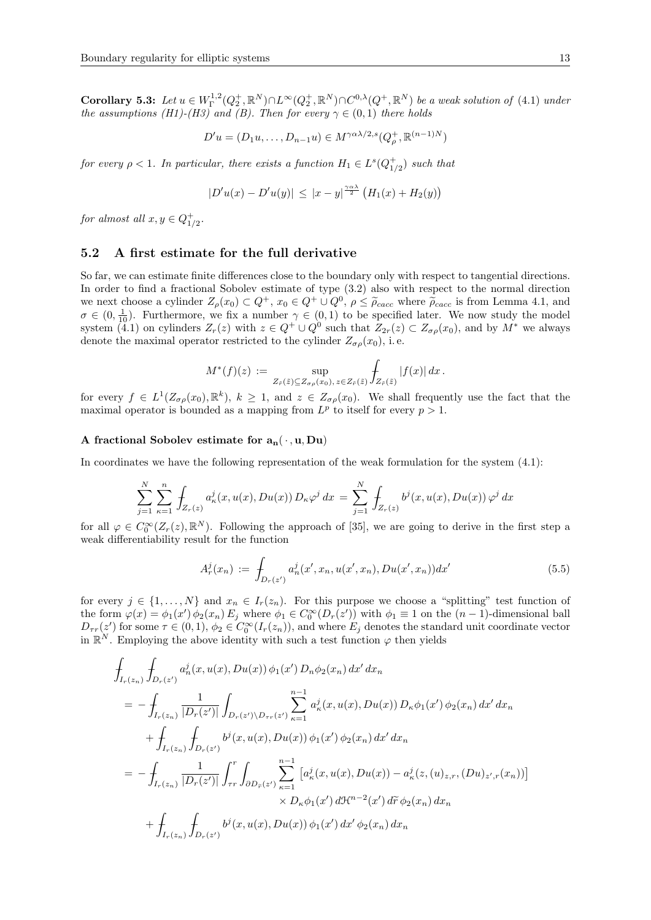Corollary 5.3: Let  $u \in W^{1,2}_\Gamma(Q_2^+,\mathbb{R}^N) \cap L^\infty(Q_2^+,\mathbb{R}^N) \cap C^{0,\lambda}(Q^+,\mathbb{R}^N)$  be a weak solution of (4.1) under the assumptions (H1)-(H3) and (B). Then for every  $\gamma \in (0,1)$  there holds

$$
D'u = (D_1u, \dots, D_{n-1}u) \in M^{\gamma \alpha \lambda/2, s}(Q_\rho^+, \mathbb{R}^{(n-1)N})
$$

for every  $\rho < 1$ . In particular, there exists a function  $H_1 \in L^s(Q^+_{1/2})$  such that

$$
|D'u(x) - D'u(y)| \le |x - y|^{\frac{\gamma \alpha \lambda}{2}} (H_1(x) + H_2(y))
$$

for almost all  $x, y \in Q_{1/2}^+$ .

# 5.2 A first estimate for the full derivative

So far, we can estimate finite differences close to the boundary only with respect to tangential directions. In order to find a fractional Sobolev estimate of type (3.2) also with respect to the normal direction we next choose a cylinder  $Z_{\rho}(x_0) \subset Q^+$ ,  $x_0 \in Q^+ \cup Q^0$ ,  $\rho \leq \tilde{\rho}_{cacc}$  where  $\tilde{\rho}_{cacc}$  is from Lemma 4.1, and  $\sigma \in (0, \frac{1}{10})$ . Furthermore, we fix a number  $\gamma \in (0, 1)$  to be specified later. We now study the m system (4.1) on cylinders  $Z_r(z)$  with  $z \in Q^+ \cup Q^0$  such that  $Z_{2r}(z) \subset Z_{\sigma\rho}(x_0)$ , and by  $M^*$  we always denote the maximal operator restricted to the cylinder  $Z_{\sigma\rho}(x_0)$ , i.e.

$$
M^*(f)(z) := \sup_{Z_{\tilde{r}}(\tilde{z}) \subseteq Z_{\sigma \rho}(x_0), \, z \in Z_{\tilde{r}}(\tilde{z})} \int_{Z_{\tilde{r}}(\tilde{z})} |f(x)| dx.
$$

for every  $f \in L^1(Z_{\sigma\rho}(x_0), \mathbb{R}^k)$ ,  $k \geq 1$ , and  $z \in Z_{\sigma\rho}(x_0)$ . We shall frequently use the fact that the maximal operator is bounded as a mapping from  $L^p$  to itself for every  $p > 1$ .

#### A fractional Sobolev estimate for  $a_n(\cdot, u, Du)$

In coordinates we have the following representation of the weak formulation for the system (4.1):

$$
\sum_{j=1}^{N} \sum_{\kappa=1}^{n} \int_{Z_r(z)} a_{\kappa}^j(x, u(x), Du(x)) D_{\kappa} \varphi^j dx = \sum_{j=1}^{N} \int_{Z_r(z)} b^j(x, u(x), Du(x)) \varphi^j dx
$$

for all  $\varphi \in C_0^{\infty}(Z_r(z), \mathbb{R}^N)$ . Following the approach of [35], we are going to derive in the first step a weak differentiability result for the function

$$
A_r^j(x_n) := \int_{D_r(z')} a_n^j(x', x_n, u(x', x_n), Du(x', x_n)) dx'
$$
 (5.5)

for every  $j \in \{1, ..., N\}$  and  $x_n \in I_r(z_n)$ . For this purpose we choose a "splitting" test function of the form  $\varphi(x) = \phi_1(x') \phi_2(x_n) E_j$  where  $\phi_1 \in C_0^{\infty}(D_r(z'))$  with  $\phi_1 \equiv 1$  on the  $(n-1)$ -dimensional ball  $D_{\tau r}(z')$  for some  $\tau \in (0,1)$ ,  $\phi_2 \in C_0^{\infty}(I_r(z_n))$ , and where  $E_j$  denotes the standard unit coordinate vector in  $\mathbb{R}^N$ . Employing the above identity with such a test function  $\varphi$  then yields

$$
\int_{I_r(z_n)} \int_{D_r(z')} a_n^j(x, u(x), Du(x)) \phi_1(x') D_n \phi_2(x_n) dx' dx_n
$$
\n
$$
= - \int_{I_r(z_n)} \frac{1}{|D_r(z')|} \int_{D_r(z') \setminus D_{\tau r}(z')} \sum_{\kappa=1}^{n-1} a_{\kappa}^j(x, u(x), Du(x)) D_{\kappa} \phi_1(x') \phi_2(x_n) dx' dx_n
$$
\n
$$
+ \int_{I_r(z_n)} \int_{D_r(z')} b^j(x, u(x), Du(x)) \phi_1(x') \phi_2(x_n) dx' dx_n
$$
\n
$$
= - \int_{I_r(z_n)} \frac{1}{|D_r(z')|} \int_{\tau r}^r \int_{\partial D_{\tilde{r}}(z')} \sum_{\kappa=1}^{n-1} \left[ a_{\kappa}^j(x, u(x), Du(x)) - a_{\kappa}^j(z, (u)_{z,r}, (Du)_{z',r}(x_n)) \right] \times D_{\kappa} \phi_1(x') d\mathcal{H}^{n-2}(x') d\tilde{r} \phi_2(x_n) dx_n
$$
\n
$$
+ \int_{I_r(z_n)} \int_{D_r(z')} b^j(x, u(x), Du(x)) \phi_1(x') dx' \phi_2(x_n) dx_n
$$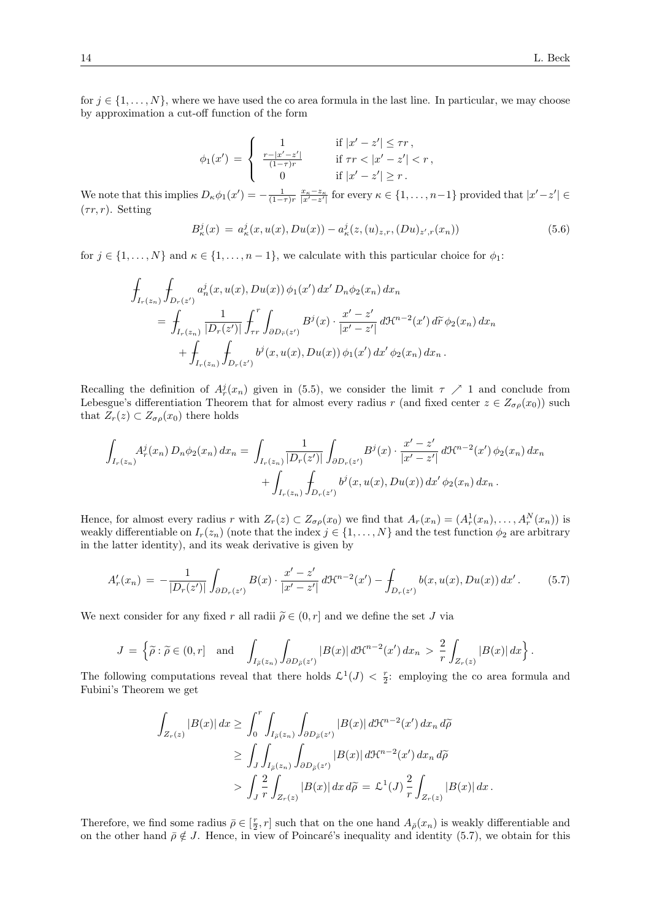for  $j \in \{1, \ldots, N\}$ , where we have used the co area formula in the last line. In particular, we may choose by approximation a cut-off function of the form

$$
\phi_1(x') = \begin{cases}\n1 & \text{if } |x' - z'| \le \tau r, \\
\frac{r - |x' - z'|}{(1 - \tau)r} & \text{if } \tau r < |x' - z'| < r, \\
0 & \text{if } |x' - z'| \ge r.\n\end{cases}
$$

We note that this implies  $D_{\kappa}\phi_1(x') = -\frac{1}{(1-\tau)r}\frac{x_{\kappa}-z_{\kappa}}{|x'-z'|}$  for every  $\kappa \in \{1,\ldots,n-1\}$  provided that  $|x'-z'| \in$  $(\tau r, r)$ . Setting

$$
B_{\kappa}^{j}(x) = a_{\kappa}^{j}(x, u(x), Du(x)) - a_{\kappa}^{j}(z, (u)_{z,r}, (Du)_{z',r}(x_{n}))
$$
\n(5.6)

for  $j \in \{1, ..., N\}$  and  $\kappa \in \{1, ..., n-1\}$ , we calculate with this particular choice for  $\phi_1$ :

$$
\int_{I_r(z_n)} \int_{D_r(z')} a_n^j(x, u(x), Du(x)) \phi_1(x') dx' D_n \phi_2(x_n) dx_n
$$
\n
$$
= \int_{I_r(z_n)} \frac{1}{|D_r(z')|} \int_{\tau r}^r \int_{\partial D_{\tilde{r}}(z')} B^j(x) \cdot \frac{x'-z'}{|x'-z'|} d\mathcal{H}^{n-2}(x') d\tilde{r} \phi_2(x_n) dx_n
$$
\n
$$
+ \int_{I_r(z_n)} \int_{D_r(z')} b^j(x, u(x), Du(x)) \phi_1(x') dx' \phi_2(x_n) dx_n.
$$

Recalling the definition of  $A_r^j(x_n)$  given in (5.5), we consider the limit  $\tau \nearrow 1$  and conclude from Lebesgue's differentiation Theorem that for almost every radius r (and fixed center  $z \in Z_{\sigma\rho}(x_0)$ ) such that  $Z_r(z) \subset Z_{\sigma \rho}(x_0)$  there holds

$$
\int_{I_r(z_n)} A_r^j(x_n) D_n \phi_2(x_n) dx_n = \int_{I_r(z_n)} \frac{1}{|D_r(z')|} \int_{\partial D_r(z')} B^j(x) \cdot \frac{x'-z'}{|x'-z'|} d\mathcal{H}^{n-2}(x') \phi_2(x_n) dx_n + \int_{I_r(z_n)} \int_{D_r(z')} b^j(x, u(x), Du(x)) dx' \phi_2(x_n) dx_n.
$$

Hence, for almost every radius r with  $Z_r(z) \subset Z_{\sigma\rho}(x_0)$  we find that  $A_r(x_n) = (A_r^1(x_n), \ldots, A_r^N(x_n))$  is weakly differentiable on  $I_r(z_n)$  (note that the index  $j \in \{1, \ldots, N\}$  and the test function  $\phi_2$  are arbitrary in the latter identity), and its weak derivative is given by

$$
A'_r(x_n) = -\frac{1}{|D_r(z')|} \int_{\partial D_r(z')} B(x) \cdot \frac{x'-z'}{|x'-z'|} d\mathcal{H}^{n-2}(x') - \int_{D_r(z')} b(x, u(x), Du(x)) dx'.
$$
 (5.7)

We next consider for any fixed r all radii  $\tilde{\rho} \in (0, r]$  and we define the set J via

$$
J = \left\{ \widetilde{\rho} : \widetilde{\rho} \in (0, r] \quad \text{and} \quad \int_{I_{\widetilde{\rho}}(z_n)} \int_{\partial D_{\widetilde{\rho}}(z')} |B(x)| d\mathcal{H}^{n-2}(x') dx_n > \frac{2}{r} \int_{Z_r(z)} |B(x)| dx \right\}.
$$

The following computations reveal that there holds  $\mathcal{L}^1(J) < \frac{r}{2}$ : employing the co area formula and Fubini's Theorem we get

$$
\int_{Z_r(z)} |B(x)| dx \ge \int_0^r \int_{I_{\tilde{\rho}}(z_n)} \int_{\partial D_{\tilde{\rho}}(z')} |B(x)| d\mathcal{H}^{n-2}(x') dx_n d\tilde{\rho}
$$
  
\n
$$
\ge \int_J \int_{I_{\tilde{\rho}}(z_n)} \int_{\partial D_{\tilde{\rho}}(z')} |B(x)| d\mathcal{H}^{n-2}(x') dx_n d\tilde{\rho}
$$
  
\n
$$
> \int_J \frac{2}{r} \int_{Z_r(z)} |B(x)| dx d\tilde{\rho} = \mathcal{L}^1(J) \frac{2}{r} \int_{Z_r(z)} |B(x)| dx.
$$

Therefore, we find some radius  $\bar{\rho} \in [\frac{r}{2}, r]$  such that on the one hand  $A_{\bar{\rho}}(x_n)$  is weakly differentiable and on the other hand  $\bar{\rho} \notin J$ . Hence, in view of Poincaré's inequality and identity (5.7), we obtain for this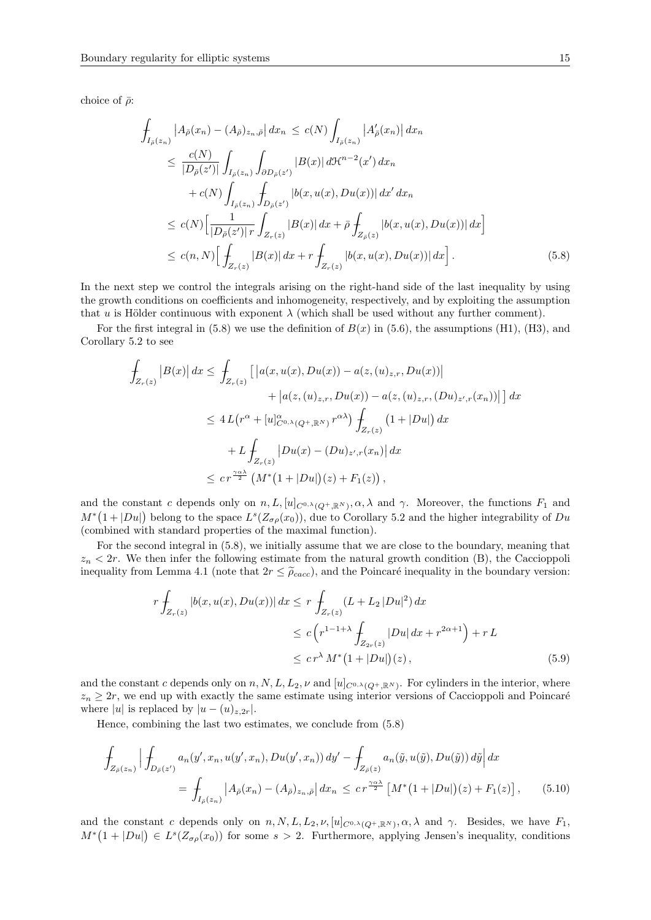choice of  $\bar{\rho}$ :

$$
\int_{I_{\bar{\rho}}(z_n)} |A_{\bar{\rho}}(x_n) - (A_{\bar{\rho}})_{z_n, \bar{\rho}}| dx_n \le c(N) \int_{I_{\bar{\rho}}(z_n)} |A'_{\bar{\rho}}(x_n)| dx_n \n\le \frac{c(N)}{|D_{\bar{\rho}}(z')|} \int_{I_{\bar{\rho}}(z_n)} \int_{\partial D_{\bar{\rho}}(z')} |B(x)| d\mathcal{H}^{n-2}(x') dx_n \n+ c(N) \int_{I_{\bar{\rho}}(z_n)} \int_{D_{\bar{\rho}}(z')} |b(x, u(x), Du(x))| dx' dx_n \n\le c(N) \Big[ \frac{1}{|D_{\bar{\rho}}(z')| r} \int_{Z_r(z)} |B(x)| dx + \bar{\rho} \int_{Z_{\bar{\rho}}(z)} |b(x, u(x), Du(x))| dx \Big] \n\le c(n, N) \Big[ \int_{Z_r(z)} |B(x)| dx + r \int_{Z_r(z)} |b(x, u(x), Du(x))| dx \Big].
$$
\n(5.8)

In the next step we control the integrals arising on the right-hand side of the last inequality by using the growth conditions on coefficients and inhomogeneity, respectively, and by exploiting the assumption that u is Hölder continuous with exponent  $\lambda$  (which shall be used without any further comment).

For the first integral in  $(5.8)$  we use the definition of  $B(x)$  in  $(5.6)$ , the assumptions  $(H1)$ ,  $(H3)$ , and Corollary 5.2 to see

$$
\int_{Z_r(z)} |B(x)| dx \le \int_{Z_r(z)} \left[ \left| a(x, u(x), Du(x)) - a(z, (u)_{z,r}, Du(x)) \right| + \left| a(z, (u)_{z,r}, Du(x)) - a(z, (u)_{z,r}, (Du)_{z',r}(x_n)) \right| \right] dx
$$
\n
$$
\le 4L(r^{\alpha} + [u]_{C^{0,\lambda}(Q^+, \mathbb{R}^N)}^{\alpha} r^{\alpha \lambda}) \int_{Z_r(z)} (1 + |Du|) dx
$$
\n
$$
+ L \int_{Z_r(z)} |Du(x) - (Du)_{z',r}(x_n)| dx
$$
\n
$$
\le c r^{\frac{\gamma \alpha \lambda}{2}} (M^*(1 + |Du|)(z) + F_1(z)),
$$

and the constant c depends only on  $n, L, [u]_{C^{0,\lambda}(Q^+, \mathbb{R}^N)}, \alpha, \lambda$  and  $\gamma$ . Moreover, the functions  $F_1$  and  $M^*(1+|Du|)$  belong to the space  $L^s(Z_{\sigma\rho}(x_0))$ , due to Corollary 5.2 and the higher integrability of Du (combined with standard properties of the maximal function).

For the second integral in (5.8), we initially assume that we are close to the boundary, meaning that  $z_n < 2r$ . We then infer the following estimate from the natural growth condition (B), the Caccioppoli inequality from Lemma 4.1 (note that  $2r \leq \tilde{\rho}_{cacc}$ ), and the Poincaré inequality in the boundary version:

$$
r \int_{Z_r(z)} |b(x, u(x), Du(x))| dx \le r \int_{Z_r(z)} (L + L_2 |Du|^2) dx
$$
  
\n
$$
\le c \left( r^{1-1+\lambda} \int_{Z_{2r}(z)} |Du| dx + r^{2\alpha+1} \right) + rL
$$
  
\n
$$
\le c r^{\lambda} M^*(1 + |Du|)(z), \qquad (5.9)
$$

and the constant c depends only on  $n, N, L, L_2, \nu$  and  $[u]_{C^{0,\lambda}(Q^+,\mathbb{R}^N)}$ . For cylinders in the interior, where  $z_n \geq 2r$ , we end up with exactly the same estimate using interior versions of Caccioppoli and Poincaré where |u| is replaced by  $|u - (u)_{z,2r}|$ .

Hence, combining the last two estimates, we conclude from (5.8)

$$
\int_{Z_{\bar{\rho}}(z_n)} \left| \int_{D_{\bar{\rho}}(z')} a_n(y', x_n, u(y', x_n), Du(y', x_n)) dy' - \int_{Z_{\bar{\rho}}(z)} a_n(\tilde{y}, u(\tilde{y}), Du(\tilde{y})) d\tilde{y} \right| dx
$$
\n
$$
= \int_{I_{\bar{\rho}}(z_n)} \left| A_{\bar{\rho}}(x_n) - (A_{\bar{\rho}})_{z_n, \bar{\rho}} \right| dx_n \leq c r^{\frac{\gamma \alpha \lambda}{2}} \left[ M^*(1 + |Du|)(z) + F_1(z) \right], \quad (5.10)
$$

and the constant c depends only on  $n, N, L, L_2, \nu, [u]_{C^{0,\lambda}(Q^+, \mathbb{R}^N)}, \alpha, \lambda$  and  $\gamma$ . Besides, we have  $F_1$ ,  $M^*(1+|Du|) \in L^s(Z_{\sigma\rho}(x_0))$  for some  $s > 2$ . Furthermore, applying Jensen's inequality, conditions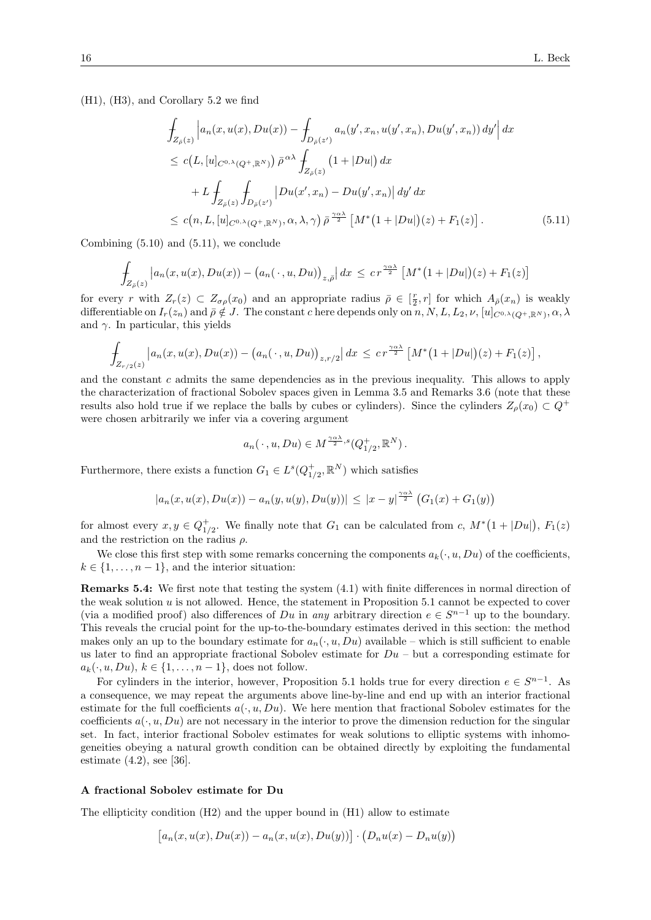(H1), (H3), and Corollary 5.2 we find

$$
\int_{Z_{\bar{\rho}}(z)} \left| a_n(x, u(x), Du(x)) - \int_{D_{\bar{\rho}}(z')} a_n(y', x_n, u(y', x_n), Du(y', x_n)) \, dy' \right| dx
$$
\n
$$
\leq c(L, [u]_{C^{0,\lambda}(Q^+, \mathbb{R}^N)}) \, \bar{\rho}^{\alpha \lambda} \int_{Z_{\bar{\rho}}(z)} (1 + |Du|) \, dx
$$
\n
$$
+ L \int_{Z_{\bar{\rho}}(z)} \int_{D_{\bar{\rho}}(z')} |Du(x', x_n) - Du(y', x_n)| \, dy' \, dx
$$
\n
$$
\leq c(n, L, [u]_{C^{0,\lambda}(Q^+, \mathbb{R}^N)}, \alpha, \lambda, \gamma) \, \bar{\rho}^{\frac{\gamma \alpha \lambda}{2}} \left[ M^*(1 + |Du|)(z) + F_1(z) \right]. \tag{5.11}
$$

Combining (5.10) and (5.11), we conclude

$$
\int_{Z_{\bar{\rho}}(z)} \left| a_n(x, u(x), Du(x)) - \left( a_n(\cdot, u, Du) \right)_{z, \bar{\rho}} \right| dx \leq c r^{\frac{\gamma \alpha \lambda}{2}} \left[ M^*(1 + |Du|)(z) + F_1(z) \right]
$$

for every r with  $Z_r(z) \subset Z_{\sigma\rho}(x_0)$  and an appropriate radius  $\overline{\rho} \in [\frac{r}{2}, r]$  for which  $A_{\overline{\rho}}(x_n)$  is weakly differentiable on  $I_r(z_n)$  and  $\bar{\rho} \notin J$ . The constant c here depends only on  $n, N, L, L_2, \nu, [u]_{C^{0,\lambda}(Q^+, \mathbb{R}^N)}, \alpha, \lambda$ and  $\gamma$ . In particular, this yields

$$
\int_{Z_{r/2}(z)} \left| a_n(x, u(x), Du(x)) - (a_n(\cdot, u, Du))_{z, r/2} \right| dx \leq c r^{\frac{\gamma \alpha \lambda}{2}} \left[ M^*(1 + |Du|)(z) + F_1(z) \right],
$$

and the constant  $c$  admits the same dependencies as in the previous inequality. This allows to apply the characterization of fractional Sobolev spaces given in Lemma 3.5 and Remarks 3.6 (note that these results also hold true if we replace the balls by cubes or cylinders). Since the cylinders  $Z_{\rho}(x_0) \subset Q^+$ were chosen arbitrarily we infer via a covering argument

$$
a_n(\,\cdot\,,u,Du)\in M^{\frac{\gamma\alpha\lambda}{2},s}(Q_{1/2}^+,\mathbb{R}^N)\,.
$$

Furthermore, there exists a function  $G_1 \in L^s(Q_{1/2}^+, \mathbb{R}^N)$  which satisfies

$$
|a_n(x, u(x), Du(x)) - a_n(y, u(y), Du(y))| \le |x - y|^{\frac{\gamma \alpha \lambda}{2}} (G_1(x) + G_1(y))
$$

for almost every  $x, y \in Q_{1/2}^+$ . We finally note that  $G_1$  can be calculated from c,  $M^*(1+|Du|)$ ,  $F_1(z)$ and the restriction on the radius  $\rho$ .

We close this first step with some remarks concerning the components  $a_k(\cdot, u, Du)$  of the coefficients,  $k \in \{1, \ldots, n-1\}$ , and the interior situation:

Remarks 5.4: We first note that testing the system (4.1) with finite differences in normal direction of the weak solution u is not allowed. Hence, the statement in Proposition 5.1 cannot be expected to cover (via a modified proof) also differences of Du in any arbitrary direction  $e \in S^{n-1}$  up to the boundary. This reveals the crucial point for the up-to-the-boundary estimates derived in this section: the method makes only an up to the boundary estimate for  $a_n(\cdot, u, Du)$  available – which is still sufficient to enable us later to find an appropriate fractional Sobolev estimate for  $Du - but$  a corresponding estimate for  $a_k(\cdot, u, Du), k \in \{1, \ldots, n-1\}$ , does not follow.

For cylinders in the interior, however, Proposition 5.1 holds true for every direction  $e \in S^{n-1}$ . As a consequence, we may repeat the arguments above line-by-line and end up with an interior fractional estimate for the full coefficients  $a(\cdot, u, Du)$ . We here mention that fractional Sobolev estimates for the coefficients  $a(\cdot, u, Du)$  are not necessary in the interior to prove the dimension reduction for the singular set. In fact, interior fractional Sobolev estimates for weak solutions to elliptic systems with inhomogeneities obeying a natural growth condition can be obtained directly by exploiting the fundamental estimate (4.2), see [36].

#### A fractional Sobolev estimate for Du

The ellipticity condition (H2) and the upper bound in (H1) allow to estimate

$$
[a_n(x, u(x), Du(x)) - a_n(x, u(x), Du(y))] \cdot (D_nu(x) - D_nu(y))
$$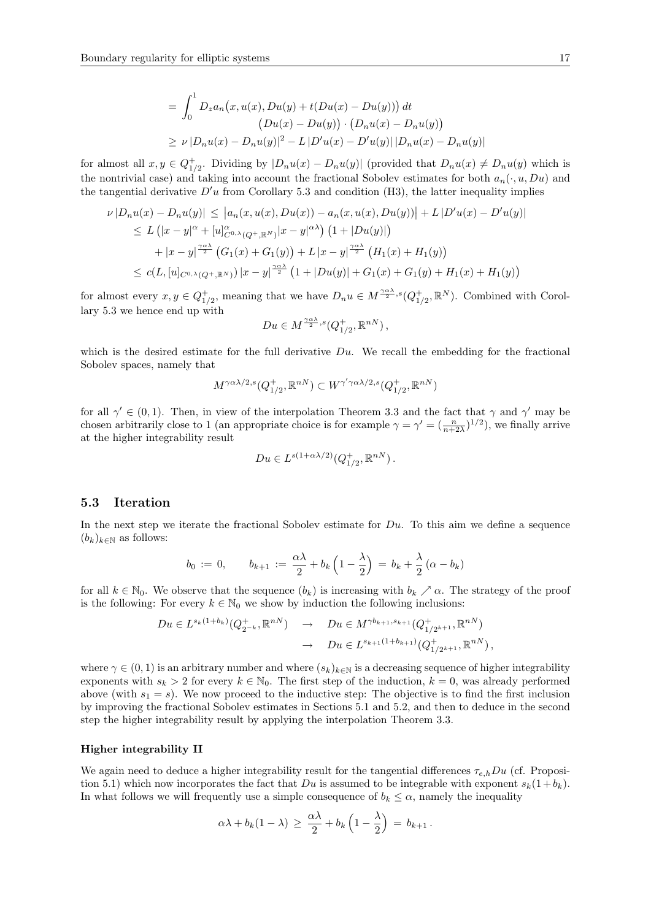$$
= \int_0^1 D_z a_n(x, u(x), Du(y) + t(Du(x) - Du(y))) dt
$$
  
\n
$$
(Du(x) - Du(y)) \cdot (D_n u(x) - D_n u(y))
$$
  
\n
$$
\ge \nu |D_n u(x) - D_n u(y)|^2 - L |D' u(x) - D' u(y)| |D_n u(x) - D_n u(y)|
$$

for almost all  $x, y \in Q_{1/2}^+$ . Dividing by  $|D_nu(x) - D_nu(y)|$  (provided that  $D_nu(x) \neq D_nu(y)$  which is the nontrivial case) and taking into account the fractional Sobolev estimates for both  $a_n(\cdot, u, Du)$  and the tangential derivative  $D'u$  from Corollary 5.3 and condition (H3), the latter inequality implies

$$
\nu |D_n u(x) - D_n u(y)| \le |a_n(x, u(x), Du(x)) - a_n(x, u(x), Du(y))| + L |D' u(x) - D' u(y)|
$$
  
\n
$$
\le L (|x - y|^{\alpha} + [u]_{C^{0,\lambda}(Q^+, \mathbb{R}^N)}^{\alpha} |x - y|^{\alpha \lambda}) (1 + |Du(y)|)
$$
  
\n
$$
+ |x - y|^{\frac{\gamma \alpha \lambda}{2}} (G_1(x) + G_1(y)) + L |x - y|^{\frac{\gamma \alpha \lambda}{2}} (H_1(x) + H_1(y))
$$
  
\n
$$
\le c(L, [u]_{C^{0,\lambda}(Q^+, \mathbb{R}^N)}) |x - y|^{\frac{\gamma \alpha \lambda}{2}} (1 + |Du(y)| + G_1(x) + G_1(y) + H_1(x) + H_1(y))
$$

for almost every  $x, y \in Q_{1/2}^+$ , meaning that we have  $D_n u \in M^{\frac{\gamma_{\alpha\lambda}}{2},s}(Q_{1/2}^+, \mathbb{R}^N)$ . Combined with Corollary 5.3 we hence end up with

$$
Du \in M^{\frac{\gamma\alpha\lambda}{2},s}(Q_{1/2}^+, \mathbb{R}^{nN}),
$$

which is the desired estimate for the full derivative  $Du$ . We recall the embedding for the fractional Sobolev spaces, namely that

$$
M^{\gamma\alpha\lambda/2,s}(Q_{1/2}^+,\mathbb{R}^{nN})\subset W^{\gamma'\gamma\alpha\lambda/2,s}(Q_{1/2}^+,\mathbb{R}^{nN})
$$

for all  $\gamma' \in (0,1)$ . Then, in view of the interpolation Theorem 3.3 and the fact that  $\gamma$  and  $\gamma'$  may be chosen arbitrarily close to 1 (an appropriate choice is for example  $\gamma = \gamma' = (\frac{n}{n+2\lambda})^{1/2}$ ), we finally arrive at the higher integrability result

$$
Du \in L^{s(1+\alpha\lambda/2)}(Q_{1/2}^+, \mathbb{R}^{nN}).
$$

## 5.3 Iteration

In the next step we iterate the fractional Sobolev estimate for  $Du$ . To this aim we define a sequence  $(b_k)_{k\in\mathbb{N}}$  as follows:

$$
b_0 := 0, \qquad b_{k+1} := \frac{\alpha \lambda}{2} + b_k \left( 1 - \frac{\lambda}{2} \right) = b_k + \frac{\lambda}{2} \left( \alpha - b_k \right)
$$

for all  $k \in \mathbb{N}_0$ . We observe that the sequence  $(b_k)$  is increasing with  $b_k \nearrow \alpha$ . The strategy of the proof is the following: For every  $k \in \mathbb{N}_0$  we show by induction the following inclusions:

$$
Du \in L^{s_k(1+b_k)}(Q_{2^{-k}}^+, \mathbb{R}^{nN}) \rightarrow Du \in M^{\gamma b_{k+1}, s_{k+1}}(Q_{1/2^{k+1}}^+, \mathbb{R}^{nN})
$$
  

$$
\rightarrow Du \in L^{s_{k+1}(1+b_{k+1})}(Q_{1/2^{k+1}}^+, \mathbb{R}^{nN}),
$$

where  $\gamma \in (0, 1)$  is an arbitrary number and where  $(s_k)_{k \in \mathbb{N}}$  is a decreasing sequence of higher integrability exponents with  $s_k > 2$  for every  $k \in \mathbb{N}_0$ . The first step of the induction,  $k = 0$ , was already performed above (with  $s_1 = s$ ). We now proceed to the inductive step: The objective is to find the first inclusion by improving the fractional Sobolev estimates in Sections 5.1 and 5.2, and then to deduce in the second step the higher integrability result by applying the interpolation Theorem 3.3.

#### Higher integrability II

We again need to deduce a higher integrability result for the tangential differences  $\tau_{e,h}Du$  (cf. Proposition 5.1) which now incorporates the fact that Du is assumed to be integrable with exponent  $s_k(1+b_k)$ . In what follows we will frequently use a simple consequence of  $b_k \leq \alpha$ , namely the inequality

$$
\alpha\lambda + b_k(1-\lambda) \geq \frac{\alpha\lambda}{2} + b_k\left(1-\frac{\lambda}{2}\right) = b_{k+1}.
$$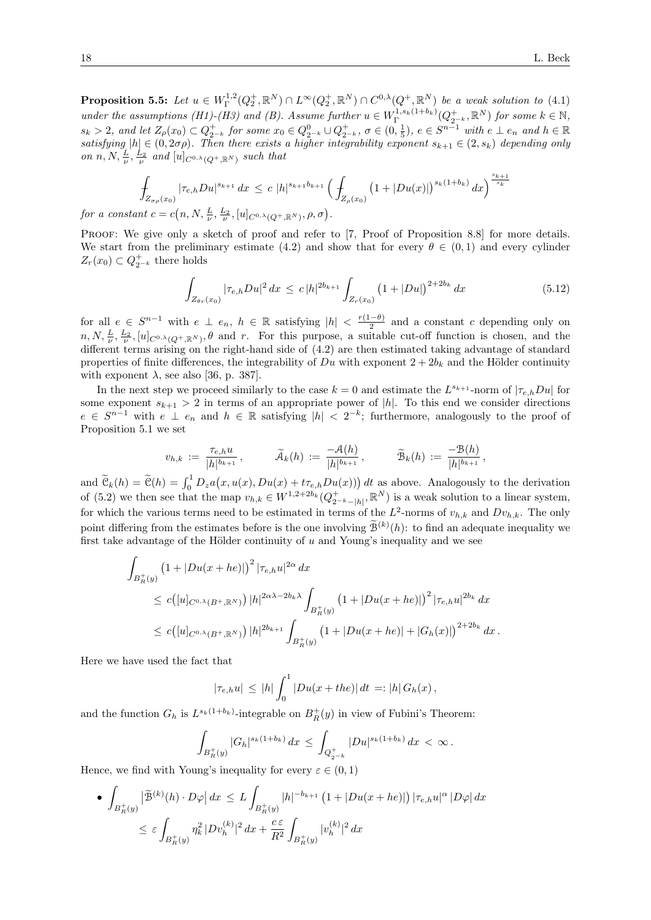**Proposition 5.5:** Let  $u \in W^{1,2}_\Gamma(Q_2^+, \mathbb{R}^N) \cap L^\infty(Q_2^+, \mathbb{R}^N) \cap C^{0,\lambda}(Q^+, \mathbb{R}^N)$  be a weak solution to (4.1) under the assumptions (H1)-(H3) and (B). Assume further  $u \in W^{1,s_k(1+b_k)}_{\Gamma} (Q^+_{2^{-k}}, \mathbb{R}^N)$  for some  $k \in \mathbb{N}$ ,  $s_k > 2$ , and let  $Z_{\rho}(x_0) \subset Q_{2^{-k}}^+$  for some  $x_0 \in Q_{2^{-k}}^0 \cup Q_{2^{-k}}^+$ ,  $\sigma \in (0, \frac{1}{5})$ ,  $e \in S^{n-1}$  with  $e \perp e_n$  and  $h \in \mathbb{R}$ satisfying  $|h| \in (0, 2\sigma\rho)$ . Then there exists a higher integrability exponent  $s_{k+1} \in (2, s_k)$  depending only on  $n, N, \frac{L}{\nu}, \frac{L_2}{\nu}$  and  $[u]_{C^{0,\lambda}(Q^+,\mathbb{R}^N)}$  such that

$$
\int_{Z_{\sigma\rho}(x_0)} |\tau_{e,h}Du|^{s_{k+1}} dx \le c |h|^{s_{k+1}b_{k+1}} \left(\int_{Z_{\rho}(x_0)} (1+|Du(x)|)^{s_k(1+b_k)} dx\right)^{\frac{s_{k+1}}{s_k}} \nfor a constant  $c = c(n, N, \frac{L}{\nu}, \frac{L_2}{\nu}, [u]_{C^{0,\lambda}(Q^+, \mathbb{R}^N)}, \rho, \sigma).$
$$

PROOF: We give only a sketch of proof and refer to [7, Proof of Proposition 8.8] for more details. We start from the preliminary estimate (4.2) and show that for every  $\theta \in (0,1)$  and every cylinder  $Z_r(x_0) \subset Q_{2^{-k}}^+$  there holds

$$
\int_{Z_{\theta r}(x_0)} |\tau_{e,h} Du|^2 dx \le c |h|^{2b_{k+1}} \int_{Z_r(x_0)} \left(1 + |Du|\right)^{2+2b_k} dx \tag{5.12}
$$

,

for all  $e \in S^{n-1}$  with  $e \perp e_n$ ,  $h \in \mathbb{R}$  satisfying  $|h| < \frac{r(1-\theta)}{2}$  $\frac{(-\theta)}{2}$  and a constant c depending only on  $n, N, \frac{L}{\nu}, \frac{L_2}{\nu}, [u]_{C^{0,\lambda}(Q^+,\mathbb{R}^N)}, \theta$  and r. For this purpose, a suitable cut-off function is chosen, and the different terms arising on the right-hand side of (4.2) are then estimated taking advantage of standard properties of finite differences, the integrability of  $Du$  with exponent  $2 + 2b_k$  and the Hölder continuity with exponent  $\lambda$ , see also [36, p. 387].

In the next step we proceed similarly to the case  $k = 0$  and estimate the  $L^{s_{k+1}}$ -norm of  $|\tau_{e,h}Du|$  for some exponent  $s_{k+1} > 2$  in terms of an appropriate power of |h|. To this end we consider directions  $e \in S^{n-1}$  with  $e \perp e_n$  and  $h \in \mathbb{R}$  satisfying  $|h| < 2^{-k}$ ; furthermore, analogously to the proof of Proposition 5.1 we set

$$
v_{h,k} := \frac{\tau_{e,h} u}{|h|^{b_{k+1}}}, \qquad \widetilde{\mathcal{A}}_k(h) := \frac{-\mathcal{A}(h)}{|h|^{b_{k+1}}}, \qquad \widetilde{\mathcal{B}}_k(h) := \frac{-\mathcal{B}(h)}{|h|^{b_{k+1}}}
$$

and  $\tilde{\mathcal{C}}_k(h) = \tilde{\mathcal{C}}(h) = \int_0^1 D_z a(x, u(x), Du(x) + t\tau_{e,h} Du(x))) dt$  as above. Analogously to the derivation of (5.2) we then see that the map  $v_{h,k} \in W^{1,2+2b_k}(Q_{2^{-k}-|h|}^+,\mathbb{R}^N)$  is a weak solution to a linear system, for which the various terms need to be estimated in terms of the  $L^2$ -norms of  $v_{h,k}$  and  $Dv_{h,k}$ . The only point differing from the estimates before is the one involving  $\mathcal{B}^{(k)}(h)$ : to find an adequate inequality we first take advantage of the Hölder continuity of  $u$  and Young's inequality and we see

$$
\int_{B_R^+(y)} (1+|Du(x+he)|)^2 |\tau_{e,h}u|^{2\alpha} dx
$$
\n
$$
\leq c([u]_{C^{0,\lambda}(B^+,\mathbb{R}^N)}) |h|^{2\alpha\lambda-2b_k\lambda} \int_{B_R^+(y)} (1+|Du(x+he)|)^2 |\tau_{e,h}u|^{2b_k} dx
$$
\n
$$
\leq c([u]_{C^{0,\lambda}(B^+,\mathbb{R}^N)}) |h|^{2b_{k+1}} \int_{B_R^+(y)} (1+|Du(x+he)|+|G_h(x)|)^{2+2b_k} dx.
$$

Here we have used the fact that

$$
|\tau_{e,h}u| \le |h| \int_0^1 |Du(x+the)| dt =: |h| G_h(x),
$$

and the function  $G_h$  is  $L^{s_k(1+b_k)}$ -integrable on  $B_R^+(y)$  in view of Fubini's Theorem:

$$
\int_{B_R^+(y)} |G_h|^{s_k(1+b_k)} dx \le \int_{Q_{2^{-k}}^+} |Du|^{s_k(1+b_k)} dx < \infty.
$$

Hence, we find with Young's inequality for every  $\varepsilon \in (0,1)$ 

$$
\begin{aligned}\n\bullet \int_{B_R^+(y)} \left| \widetilde{\mathcal{B}}^{(k)}(h) \cdot D\varphi \right| dx &\le L \int_{B_R^+(y)} |h|^{-b_{k+1}} \left( 1 + |Du(x+he)| \right) |\tau_{e,h}u|^\alpha \left| D\varphi \right| dx \\
&\le \varepsilon \int_{B_R^+(y)} \eta_k^2 |Dv_h^{(k)}|^2 dx + \frac{c\varepsilon}{R^2} \int_{B_R^+(y)} |v_h^{(k)}|^2 dx\n\end{aligned}
$$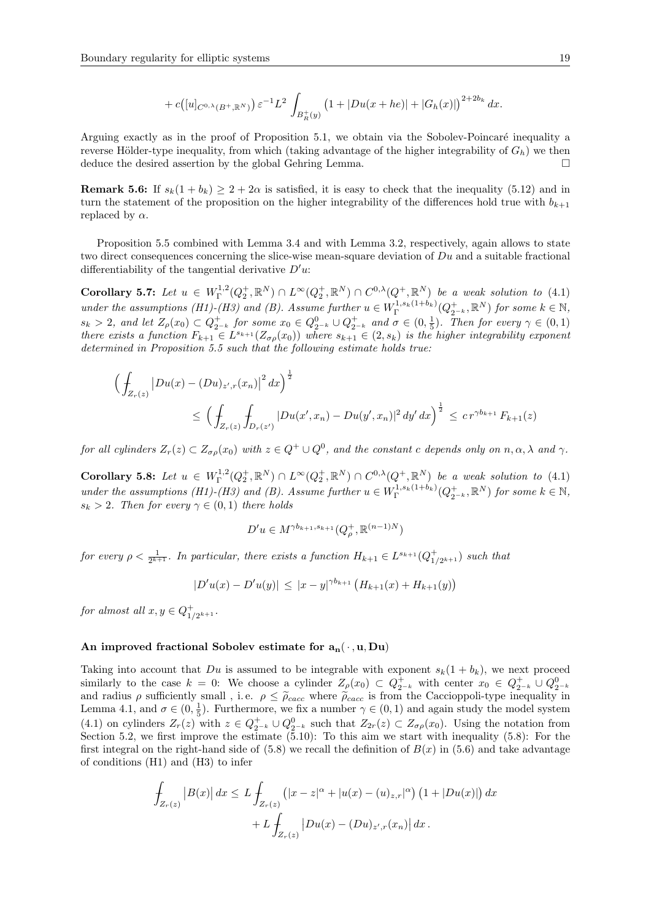$$
+ c([u]_{C^{0,\lambda}(B^+,\mathbb{R}^N)}) \varepsilon^{-1}L^2 \int_{B_R^+(y)} (1+|Du(x+he)|+|G_h(x)|)^{2+2b_k} dx.
$$

Arguing exactly as in the proof of Proposition 5.1, we obtain via the Sobolev-Poincaré inequality a reverse Hölder-type inequality, from which (taking advantage of the higher integrability of  $G_h$ ) we then deduce the desired assertion by the global Gehring Lemma.

**Remark 5.6:** If  $s_k(1 + b_k) \geq 2 + 2\alpha$  is satisfied, it is easy to check that the inequality (5.12) and in turn the statement of the proposition on the higher integrability of the differences hold true with  $b_{k+1}$ replaced by  $\alpha$ .

Proposition 5.5 combined with Lemma 3.4 and with Lemma 3.2, respectively, again allows to state two direct consequences concerning the slice-wise mean-square deviation of  $Du$  and a suitable fractional differentiability of the tangential derivative  $D'u$ :

Corollary 5.7: Let  $u \in W^{1,2}_\Gamma(Q_2^+, \mathbb{R}^N) \cap L^\infty(Q_2^+, \mathbb{R}^N) \cap C^{0,\lambda}(Q^+, \mathbb{R}^N)$  be a weak solution to (4.1) under the assumptions (H1)-(H3) and (B). Assume further  $u \in W^{1,s_k(1+b_k)}_{\Gamma}(Q^+_{2^{-k}}, \mathbb{R}^N)$  for some  $k \in \mathbb{N}$ ,  $s_k > 2$ , and let  $Z_\rho(x_0) \subset Q_{2^{-k}}^+$  for some  $x_0 \in Q_{2^{-k}}^0 \cup Q_{2^{-k}}^+$  and  $\sigma \in (0, \frac{1}{5})$ . Then for every  $\gamma \in (0, 1)$ there exists a function  $F_{k+1} \in L^{s_{k+1}}(Z_{\sigma\rho}(x_0))$  where  $s_{k+1} \in (2, s_k)$  is the higher integrability exponent determined in Proposition 5.5 such that the following estimate holds true:

$$
\left(\int_{Z_r(z)} |Du(x) - (Du)_{z',r}(x_n)|^2 dx\right)^{\frac{1}{2}}
$$
\n
$$
\leq \left(\int_{Z_r(z)} \int_{D_r(z')} |Du(x',x_n) - Du(y',x_n)|^2 dy' dx\right)^{\frac{1}{2}} \leq c r^{\gamma b_{k+1}} F_{k+1}(z)
$$

for all cylinders  $Z_r(z) \subset Z_{\sigma \rho}(x_0)$  with  $z \in Q^+ \cup Q^0$ , and the constant c depends only on  $n, \alpha, \lambda$  and  $\gamma$ .

Corollary 5.8: Let  $u \in W^{1,2}_\Gamma(Q_2^+, \mathbb{R}^N) \cap L^\infty(Q_2^+, \mathbb{R}^N) \cap C^{0,\lambda}(Q^+, \mathbb{R}^N)$  be a weak solution to (4.1) under the assumptions (H1)-(H3) and (B). Assume further  $u \in W^{1,s_k(1+b_k)}_{\Gamma}(Q^+_{2^{-k}}, \mathbb{R}^N)$  for some  $k \in \mathbb{N}$ ,  $s_k > 2$ . Then for every  $\gamma \in (0,1)$  there holds

$$
D'u \in M^{\gamma b_{k+1}, s_{k+1}}(Q_{\rho}^+, \mathbb{R}^{(n-1)N})
$$

for every  $\rho < \frac{1}{2^{k+1}}$ . In particular, there exists a function  $H_{k+1} \in L^{s_{k+1}}(Q_{1/2^{k+1}}^+)$  such that

$$
|D'u(x) - D'u(y)| \le |x - y|^{\gamma b_{k+1}} \left( H_{k+1}(x) + H_{k+1}(y) \right)
$$

for almost all  $x, y \in Q_{1/2^{k+1}}^+$ .

## An improved fractional Sobolev estimate for  $a_n(\cdot, u, Du)$

Taking into account that  $Du$  is assumed to be integrable with exponent  $s_k(1 + b_k)$ , we next proceed similarly to the case  $k = 0$ : We choose a cylinder  $Z_{\rho}(x_0) \subset Q_{2-k}^+$  with center  $x_0 \in Q_{2-k}^+ \cup Q_{2-k}^0$ <br>and radius  $\rho$  sufficiently small , i.e.  $\rho \leq \tilde{\rho}_{cacc}$  where  $\tilde{\rho}_{cacc}$  is from the Caccioppoli-type inequal Lemma 4.1, and  $\sigma \in (0, \frac{1}{5})$ . Furthermore, we fix a number  $\gamma \in (0, 1)$  and again study the model system (4.1) on cylinders  $Z_r(z)$  with  $z \in Q_{2^{-k}}^+ \cup Q_{2^{-k}}^0$  such that  $Z_{2r}(z) \subset Z_{\sigma\rho}(x_0)$ . Using the notation from Section 5.2, we first improve the estimate (5.10): To this aim we start with inequality (5.8): For the first integral on the right-hand side of  $(5.8)$  we recall the definition of  $B(x)$  in  $(5.6)$  and take advantage of conditions (H1) and (H3) to infer

$$
\int_{Z_r(z)} |B(x)| dx \le L \int_{Z_r(z)} (|x - z|^{\alpha} + |u(x) - (u)_{z,r}|^{\alpha}) (1 + |Du(x)|) dx \n+ L \int_{Z_r(z)} |Du(x) - (Du)_{z',r}(x_n)| dx.
$$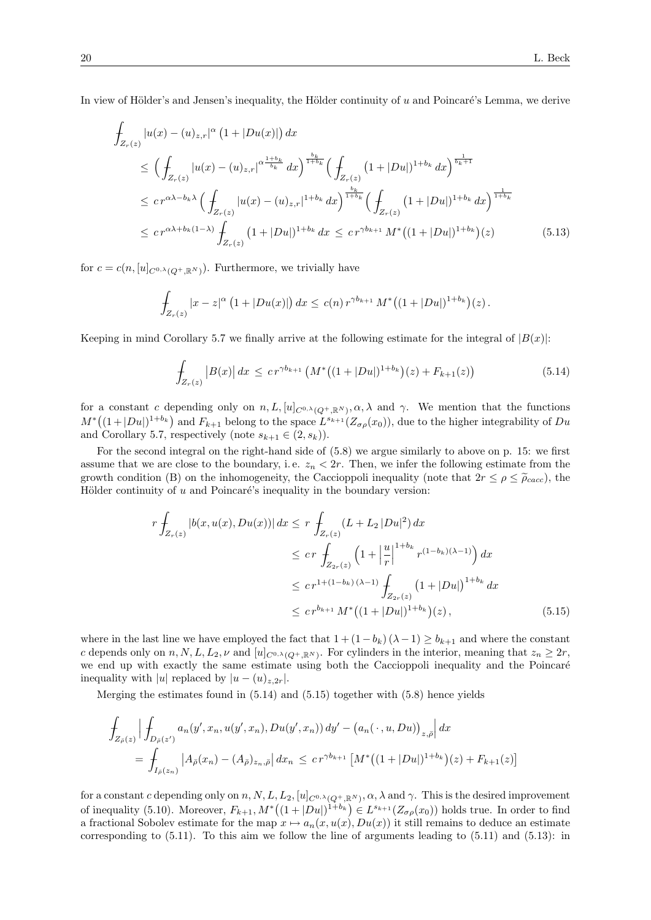In view of Hölder's and Jensen's inequality, the Hölder continuity of  $u$  and Poincaré's Lemma, we derive

$$
\int_{Z_r(z)} |u(x) - (u)_{z,r}|^{\alpha} (1 + |Du(x)|) dx
$$
\n
$$
\leq \left( \int_{Z_r(z)} |u(x) - (u)_{z,r}|^{\alpha} \right)^{\frac{1+b_k}{b_k}} dx \right)^{\frac{b_k}{1+b_k}} \left( \int_{Z_r(z)} (1 + |Du|)^{1+b_k} dx \right)^{\frac{1}{b_k+1}}
$$
\n
$$
\leq c r^{\alpha \lambda - b_k \lambda} \left( \int_{Z_r(z)} |u(x) - (u)_{z,r}|^{1+b_k} dx \right)^{\frac{b_k}{1+b_k}} \left( \int_{Z_r(z)} (1 + |Du|)^{1+b_k} dx \right)^{\frac{1}{1+b_k}}
$$
\n
$$
\leq c r^{\alpha \lambda + b_k (1-\lambda)} \int_{Z_r(z)} (1 + |Du|)^{1+b_k} dx \leq c r^{\gamma b_{k+1}} M^* \left( (1 + |Du|)^{1+b_k} \right) (z) \tag{5.13}
$$

for  $c = c(n, [u]_{C^{0,\lambda}(Q^+, \mathbb{R}^N)})$ . Furthermore, we trivially have

$$
\int_{Z_r(z)} |x-z|^{\alpha} (1+|Du(x)|) dx \le c(n) r^{\gamma b_{k+1}} M^* \big( (1+|Du|)^{1+b_k} \big)(z).
$$

Keeping in mind Corollary 5.7 we finally arrive at the following estimate for the integral of  $|B(x)|$ :

$$
\int_{Z_r(z)} |B(x)| dx \leq c r^{\gamma b_{k+1}} \left( M^* \big( (1 + |Du|)^{1 + b_k} \big) (z) + F_{k+1}(z) \right) \tag{5.14}
$$

for a constant c depending only on  $n, L, [u]_{C^{0,\lambda}(Q^+, \mathbb{R}^N)}, \alpha, \lambda$  and  $\gamma$ . We mention that the functions  $M^*((1+|Du|)^{1+b_k})$  and  $F_{k+1}$  belong to the space  $L^{s_{k+1}}(Z_{\sigma\rho}(x_0))$ , due to the higher integrability of  $Du$ and Corollary 5.7, respectively (note  $s_{k+1} \in (2, s_k)$ ).

For the second integral on the right-hand side of (5.8) we argue similarly to above on p. 15: we first assume that we are close to the boundary, i.e.  $z_n < 2r$ . Then, we infer the following estimate from the growth condition (B) on the inhomogeneity, the Caccioppoli inequality (note that  $2r \leq \rho \leq \tilde{\rho}_{cacc}$ ), the Hölder continuity of  $u$  and Poincaré's inequality in the boundary version:

$$
r \int_{Z_r(z)} |b(x, u(x), Du(x))| dx \le r \int_{Z_r(z)} (L + L_2 |Du|^2) dx
$$
  
\n
$$
\le cr \int_{Z_{2r}(z)} \left(1 + \left|\frac{u}{r}\right|^{1+b_k} r^{(1-b_k)(\lambda - 1)}\right) dx
$$
  
\n
$$
\le cr^{1+(1-b_k)(\lambda - 1)} \int_{Z_{2r}(z)} \left(1 + |Du|\right)^{1+b_k} dx
$$
  
\n
$$
\le cr^{b_{k+1}} M^* \left((1 + |Du|)^{1+b_k}\right)(z), \tag{5.15}
$$

where in the last line we have employed the fact that  $1 + (1 - b_k)(\lambda - 1) \ge b_{k+1}$  and where the constant c depends only on  $n, N, L, L_2, \nu$  and  $[u]_{C^{0,\lambda}(Q^+, \mathbb{R}^N)}$ . For cylinders in the interior, meaning that  $z_n \geq 2r$ , we end up with exactly the same estimate using both the Caccioppoli inequality and the Poincaré inequality with |u| replaced by  $|u - (u)_{z,2r}|$ .

Merging the estimates found in  $(5.14)$  and  $(5.15)$  together with  $(5.8)$  hence yields

$$
\int_{Z_{\bar{\rho}}(z)} \left| \int_{D_{\bar{\rho}}(z')} a_n(y', x_n, u(y', x_n), Du(y', x_n)) dy' - (a_n(\cdot, u, Du))_{z, \bar{\rho}} \right| dx
$$
\n
$$
= \int_{I_{\bar{\rho}}(z_n)} \left| A_{\bar{\rho}}(x_n) - (A_{\bar{\rho}})_{z_n, \bar{\rho}} \right| dx_n \leq c r^{\gamma b_{k+1}} \left[ M^* \left( (1 + |Du|)^{1 + b_k} \right) (z) + F_{k+1}(z) \right]
$$

for a constant c depending only on  $n, N, L, L_2, [u]_{C^{0,\lambda}(Q^+,\mathbb{R}^N)}, \alpha, \lambda$  and  $\gamma$ . This is the desired improvement of inequality (5.10). Moreover,  $F_{k+1}, M^*((1+|Du|)^{1+b_k}) \in L^{s_{k+1}}(Z_{\sigma\rho}(x_0))$  holds true. In order to find a fractional Sobolev estimate for the map  $x \mapsto a_n(x, u(x), Du(x))$  it still remains to deduce an estimate corresponding to  $(5.11)$ . To this aim we follow the line of arguments leading to  $(5.11)$  and  $(5.13)$ : in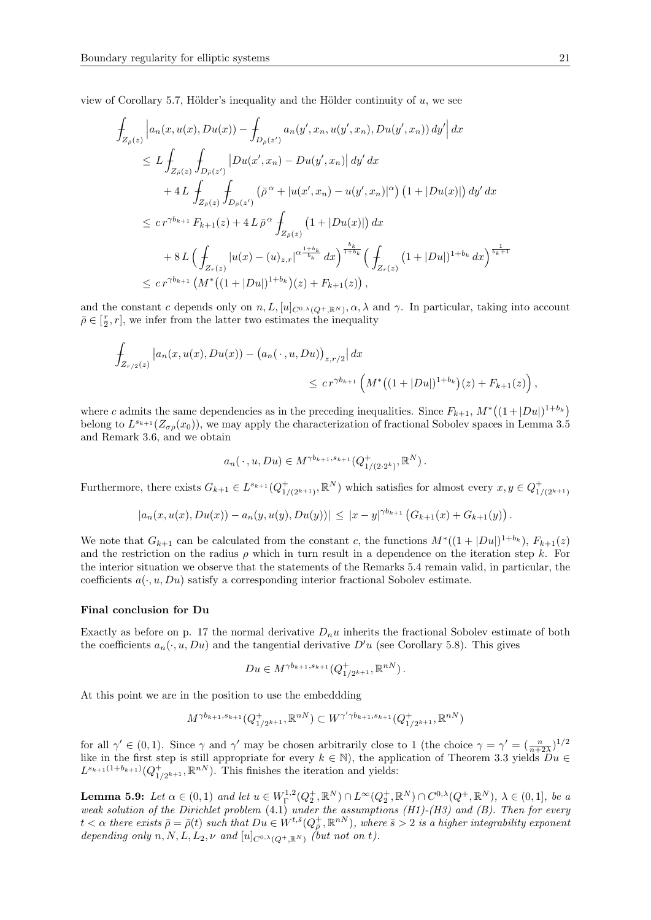view of Corollary 5.7, Hölder's inequality and the Hölder continuity of  $u$ , we see

$$
\int_{Z_{\bar{\rho}}(z)} \left| a_n(x, u(x), Du(x)) - \int_{D_{\bar{\rho}}(z')} a_n(y', x_n, u(y', x_n), Du(y', x_n)) dy' \right| dx
$$
\n
$$
\leq L \int_{Z_{\bar{\rho}}(z)} \int_{D_{\bar{\rho}}(z')} |Du(x', x_n) - Du(y', x_n)| dy' dx
$$
\n
$$
+ 4L \int_{Z_{\bar{\rho}}(z)} \int_{D_{\bar{\rho}}(z')} (\bar{\rho}^{\alpha} + |u(x', x_n) - u(y', x_n)|^{\alpha}) (1 + |Du(x)|) dy' dx
$$
\n
$$
\leq c r^{\gamma b_{k+1}} F_{k+1}(z) + 4L \bar{\rho}^{\alpha} \int_{Z_{\bar{\rho}}(z)} (1 + |Du(x)|) dx
$$
\n
$$
+ 8L \Big( \int_{Z_r(z)} |u(x) - (u)_{z,r}|^{\alpha \frac{1+b_k}{b_k}} dx \Big)^{\frac{b_k}{1+b_k}} \Big( \int_{Z_r(z)} (1 + |Du|)^{1+b_k} dx \Big)^{\frac{1}{b_k+1}}
$$
\n
$$
\leq c r^{\gamma b_{k+1}} \left( M^* \big( (1 + |Du|)^{1+b_k} \big) (z) + F_{k+1}(z) \big) ,
$$

and the constant c depends only on  $n, L, [u]_{C^{0,\lambda}(Q^+, \mathbb{R}^N)}, \alpha, \lambda$  and  $\gamma$ . In particular, taking into account  $\bar{\rho} \in [\frac{r}{2}, r]$ , we infer from the latter two estimates the inequality

$$
\int_{Z_{r/2}(z)} |a_n(x, u(x), Du(x)) - (a_n(\cdot, u, Du))_{z, r/2}| dx
$$
\n
$$
\leq c r^{\gamma b_{k+1}} \left( M^* \left( (1 + |Du|)^{1+b_k} \right) (z) + F_{k+1}(z) \right),
$$

where c admits the same dependencies as in the preceding inequalities. Since  $F_{k+1}$ ,  $M^*((1+|Du|)^{1+b_k})$ belong to  $L^{s_{k+1}}(Z_{\sigma\rho}(x_0))$ , we may apply the characterization of fractional Sobolev spaces in Lemma 3.5 and Remark 3.6, and we obtain

$$
a_n(\cdot, u, Du) \in M^{\gamma b_{k+1}, s_{k+1}}(Q^+_{1/(2 \cdot 2^k)}, \mathbb{R}^N).
$$

Furthermore, there exists  $G_{k+1} \in L^{s_{k+1}}(Q_{1/(2^{k+1})}^+, \mathbb{R}^N)$  which satisfies for almost every  $x, y \in Q_{1/(2^{k+1})}^+$ 

$$
|a_n(x,u(x),Du(x))-a_n(y,u(y),Du(y))|\leq |x-y|^{\gamma b_{k+1}}\left(G_{k+1}(x)+G_{k+1}(y)\right).
$$

We note that  $G_{k+1}$  can be calculated from the constant c, the functions  $M^*((1+|Du|)^{1+b_k}), F_{k+1}(z)$ and the restriction on the radius  $\rho$  which in turn result in a dependence on the iteration step k. For the interior situation we observe that the statements of the Remarks 5.4 remain valid, in particular, the coefficients  $a(\cdot, u, Du)$  satisfy a corresponding interior fractional Sobolev estimate.

#### Final conclusion for Du

Exactly as before on p. 17 the normal derivative  $D_n u$  inherits the fractional Sobolev estimate of both the coefficients  $a_n(\cdot, u, Du)$  and the tangential derivative  $D'u$  (see Corollary 5.8). This gives

$$
Du \in M^{\gamma b_{k+1}, s_{k+1}}(Q_{1/2^{k+1}}^+, \mathbb{R}^{nN}).
$$

At this point we are in the position to use the embeddding

$$
M^{\gamma b_{k+1}, s_{k+1}}(Q_{1/2^{k+1}}^+, \mathbb{R}^{nN}) \subset W^{\gamma' \gamma b_{k+1}, s_{k+1}}(Q_{1/2^{k+1}}^+, \mathbb{R}^{nN})
$$

for all  $\gamma' \in (0,1)$ . Since  $\gamma$  and  $\gamma'$  may be chosen arbitrarily close to 1 (the choice  $\gamma = \gamma' = (\frac{n}{n+2\lambda})^{1/2}$ like in the first step is still appropriate for every  $k \in \mathbb{N}$ , the application of Theorem 3.3 yields  $\overleftrightarrow{Du} \in$  $L^{s_{k+1}(1+b_{k+1})}(Q_{1/2^{k+1}}^+, \mathbb{R}^{nN})$ . This finishes the iteration and yields:

**Lemma 5.9:** Let  $\alpha \in (0,1)$  and let  $u \in W^{1,2}_\Gamma(Q_2^+, \mathbb{R}^N) \cap L^\infty(Q_2^+, \mathbb{R}^N) \cap C^{0,\lambda}(Q^+, \mathbb{R}^N)$ ,  $\lambda \in (0,1]$ , be a weak solution of the Dirichlet problem  $(4.1)$  under the assumptions  $(H1)-(H3)$  and  $(B)$ . Then for every  $t<\alpha$  there exists  $\bar{\rho}=\bar{\rho}(t)$  such that  $Du\in W^{t,\bar{s}}(Q^+_{\bar{\rho}},\mathbb{R}^{nN})$ , where  $\bar{s}>2$  is a higher integrability exponent depending only n, N, L,  $L_2$ ,  $\nu$  and  $[u]_{C^{0,\lambda}(O^+,\mathbb{R}^N)}$  (but not on t).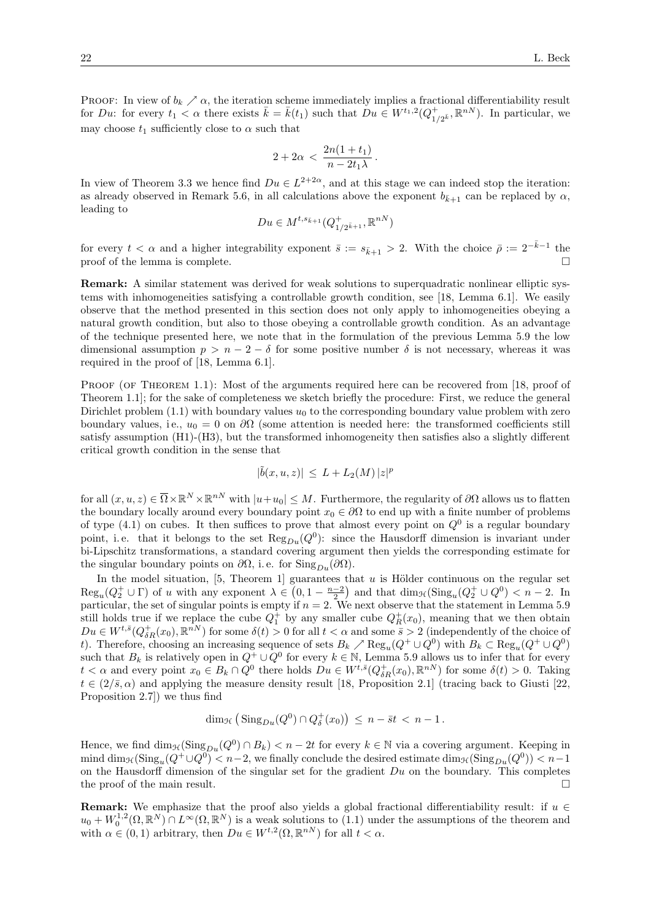PROOF: In view of  $b_k \nearrow \alpha$ , the iteration scheme immediately implies a fractional differentiability result for Du: for every  $t_1 < \alpha$  there exists  $\bar{k} = \bar{k}(t_1)$  such that  $\bar{D}u \in W^{t_1,2}(Q_1^+)$  $_{1/2^{\bar{k}}}^{+}$ ,  $\mathbb{R}^{nN}$ ). In particular, we may choose  $t_1$  sufficiently close to  $\alpha$  such that

$$
2+2\alpha\,<\,\frac{2n(1+t_1)}{n-2t_1\lambda}\,.
$$

In view of Theorem 3.3 we hence find  $Du \in L^{2+2\alpha}$ , and at this stage we can indeed stop the iteration: as already observed in Remark 5.6, in all calculations above the exponent  $b_{\bar{k}+1}$  can be replaced by  $\alpha$ , leading to

$$
Du \in M^{t, s_{\bar{k}+1}}(Q^+_{1/2^{\bar{k}+1}}, \mathbb{R}^{nN})
$$

for every  $t < \alpha$  and a higher integrability exponent  $\bar{s} := s_{\bar{k}+1} > 2$ . With the choice  $\bar{\rho} := 2^{-\bar{k}-1}$  the proof of the lemma is complete.

Remark: A similar statement was derived for weak solutions to superquadratic nonlinear elliptic systems with inhomogeneities satisfying a controllable growth condition, see [18, Lemma 6.1]. We easily observe that the method presented in this section does not only apply to inhomogeneities obeying a natural growth condition, but also to those obeying a controllable growth condition. As an advantage of the technique presented here, we note that in the formulation of the previous Lemma 5.9 the low dimensional assumption  $p > n - 2 - \delta$  for some positive number  $\delta$  is not necessary, whereas it was required in the proof of [18, Lemma 6.1].

PROOF (OF THEOREM 1.1): Most of the arguments required here can be recovered from [18, proof of Theorem 1.1]; for the sake of completeness we sketch briefly the procedure: First, we reduce the general Dirichlet problem  $(1.1)$  with boundary values  $u_0$  to the corresponding boundary value problem with zero boundary values, i.e.,  $u_0 = 0$  on  $\partial\Omega$  (some attention is needed here: the transformed coefficients still satisfy assumption (H1)-(H3), but the transformed inhomogeneity then satisfies also a slightly different critical growth condition in the sense that

$$
|\tilde{b}(x, u, z)| \leq L + L_2(M) |z|^p
$$

for all  $(x, u, z) \in \overline{\Omega} \times \mathbb{R}^N \times \mathbb{R}^{nN}$  with  $|u + u_0| \leq M$ . Furthermore, the regularity of  $\partial\Omega$  allows us to flatten the boundary locally around every boundary point  $x_0 \in \partial\Omega$  to end up with a finite number of problems of type (4.1) on cubes. It then suffices to prove that almost every point on  $Q^0$  is a regular boundary point, i.e. that it belongs to the set  $\text{Reg}_{Du}(Q^0)$ : since the Hausdorff dimension is invariant under bi-Lipschitz transformations, a standard covering argument then yields the corresponding estimate for the singular boundary points on  $\partial\Omega$ , i.e. for Sing<sub>Du</sub>( $\partial\Omega$ ).

In the model situation,  $[5,$  Theorem 1] guarantees that u is Hölder continuous on the regular set  $\text{Reg}_u(Q_2^+\cup\Gamma)$  of u with any exponent  $\lambda \in (0,1-\frac{n-2}{2})$  and that  $\dim_{\mathcal{H}}(\text{Sing}_u(Q_2^+\cup Q^0)) < n-2$ . In particular, the set of singular points is empty if  $n = 2$ . We next observe that the statement in Lemma 5.9 still holds true if we replace the cube  $Q_1^+$  by any smaller cube  $Q_R^+(x_0)$ , meaning that we then obtain  $Du \in W^{t, \bar{s}}(Q_{\delta R}^+(x_0), \mathbb{R}^{nN})$  for some  $\delta(t) > 0$  for all  $t < \alpha$  and some  $\bar{s} > 2$  (independently of the choice of t). Therefore, choosing an increasing sequence of sets  $B_k \nearrow \text{Reg}_u(Q^+ \cup Q^0)$  with  $B_k \subset \text{Reg}_u(Q^+ \cup Q^0)$ such that  $B_k$  is relatively open in  $Q^+ \cup Q^0$  for every  $k \in \mathbb{N}$ , Lemma 5.9 allows us to infer that for every  $t < \alpha$  and every point  $x_0 \in B_k \cap Q^0$  there holds  $Du \in W^{t, \bar{s}}(Q_{\delta R}^+(x_0), \mathbb{R}^{nN})$  for some  $\delta(t) > 0$ . Taking  $t \in (2/\bar{s}, \alpha)$  and applying the measure density result [18, Proposition 2.1] (tracing back to Giusti [22, Proposition 2.7]) we thus find

$$
\dim_{\mathcal{H}} \left( \,\mathrm{Sing}_{Du}(Q^0) \cap Q_{\delta}^+(x_0) \right) \,\leq\, n-{\bar s} t \,<\, n-1\,.
$$

Hence, we find  $\dim_{\mathcal{H}}(\text{Sing}_{Du}(Q^0) \cap B_k) < n-2t$  for every  $k \in \mathbb{N}$  via a covering argument. Keeping in mind  $\dim_{\mathcal{H}}(\text{Sing}_u(Q^+\cup Q^0), we finally conclude the desired estimate  $\dim_{\mathcal{H}}(\text{Sing}_{Du}(Q^0))$$ on the Hausdorff dimension of the singular set for the gradient  $Du$  on the boundary. This completes the proof of the main result.

**Remark:** We emphasize that the proof also yields a global fractional differentiability result: if  $u \in$  $u_0 + W_0^{1,2}(\Omega,\mathbb{R}^N) \cap L^\infty(\Omega,\mathbb{R}^N)$  is a weak solutions to (1.1) under the assumptions of the theorem and with  $\alpha \in (0,1)$  arbitrary, then  $Du \in W^{t,2}(\Omega,\mathbb{R}^{nN})$  for all  $t < \alpha$ .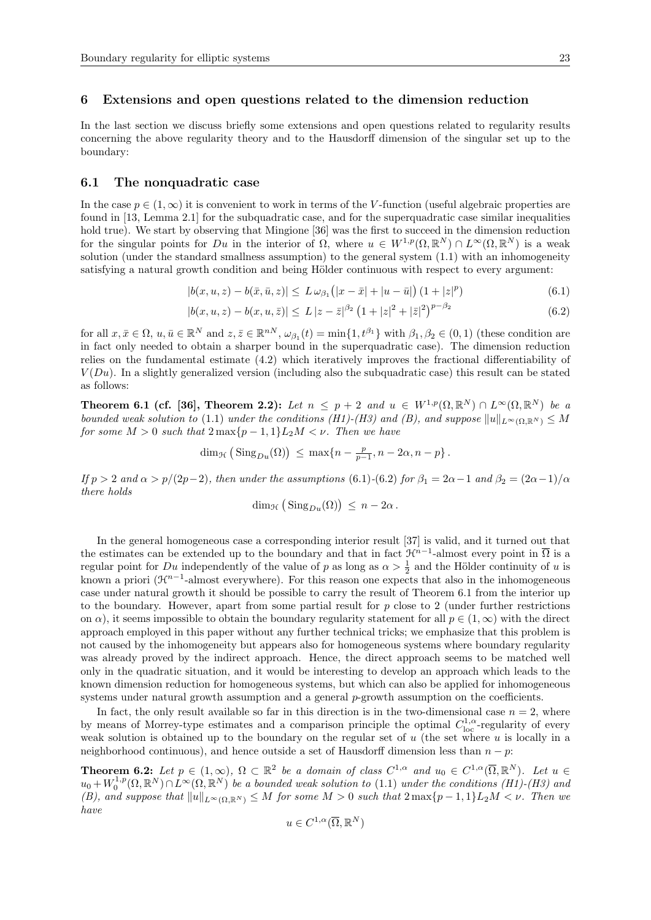In the last section we discuss briefly some extensions and open questions related to regularity results concerning the above regularity theory and to the Hausdorff dimension of the singular set up to the boundary:

#### 6.1 The nonquadratic case

In the case  $p \in (1,\infty)$  it is convenient to work in terms of the V-function (useful algebraic properties are found in [13, Lemma 2.1] for the subquadratic case, and for the superquadratic case similar inequalities hold true). We start by observing that Mingione [36] was the first to succeed in the dimension reduction for the singular points for Du in the interior of  $\Omega$ , where  $u \in W^{1,p}(\Omega,\mathbb{R}^N) \cap L^{\infty}(\Omega,\mathbb{R}^N)$  is a weak solution (under the standard smallness assumption) to the general system (1.1) with an inhomogeneity satisfying a natural growth condition and being Hölder continuous with respect to every argument:

$$
|b(x, u, z) - b(\bar{x}, \bar{u}, z)| \le L \omega_{\beta_1} (|x - \bar{x}| + |u - \bar{u}|) (1 + |z|^p)
$$
\n(6.1)

$$
|b(x, u, z) - b(x, u, \bar{z})| \le L |z - \bar{z}|^{\beta_2} \left(1 + |z|^2 + |\bar{z}|^2\right)^{p - \beta_2}
$$
\n(6.2)

for all  $x, \bar{x} \in \Omega$ ,  $u, \bar{u} \in \mathbb{R}^N$  and  $z, \bar{z} \in \mathbb{R}^{nN}$ ,  $\omega_{\beta_1}(t) = \min\{1, t^{\beta_1}\}\$  with  $\beta_1, \beta_2 \in (0, 1)$  (these condition are in fact only needed to obtain a sharper bound in the superquadratic case). The dimension reduction relies on the fundamental estimate (4.2) which iteratively improves the fractional differentiability of  $V(Du)$ . In a slightly generalized version (including also the subquadratic case) this result can be stated as follows:

Theorem 6.1 (cf. [36], Theorem 2.2): Let  $n \leq p+2$  and  $u \in W^{1,p}(\Omega,\mathbb{R}^N) \cap L^{\infty}(\Omega,\mathbb{R}^N)$  be a bounded weak solution to (1.1) under the conditions (H1)-(H3) and (B), and suppose  $||u||_{L^{\infty}(\Omega,\mathbb{R}^N)} \leq M$ for some  $M > 0$  such that  $2 \max\{p-1, 1\} L_2 M < \nu$ . Then we have

 $\dim_{\mathcal{H}} \left( \text{Sing}_{Du}(\Omega) \right) \leq \max\{n - \frac{p}{p-1}, n - 2\alpha, n - p\}.$ 

If  $p > 2$  and  $\alpha > p/(2p-2)$ , then under the assumptions (6.1)-(6.2) for  $\beta_1 = 2\alpha - 1$  and  $\beta_2 = (2\alpha - 1)/\alpha$ there holds

$$
\dim_{\mathcal{H}}\big(\operatorname{Sing}_{Du}(\Omega)\big)\,\leq\, n-2\alpha\,.
$$

In the general homogeneous case a corresponding interior result [37] is valid, and it turned out that the estimates can be extended up to the boundary and that in fact  $\mathcal{H}^{n-1}$ -almost every point in  $\overline{\Omega}$  is a regular point for  $Du$  independently of the value of p as long as  $\alpha > \frac{1}{2}$  and the Hölder continuity of u is known a priori ( $\mathcal{H}^{n-1}$ -almost everywhere). For this reason one expects that also in the inhomogeneous case under natural growth it should be possible to carry the result of Theorem 6.1 from the interior up to the boundary. However, apart from some partial result for  $p$  close to 2 (under further restrictions on  $\alpha$ ), it seems impossible to obtain the boundary regularity statement for all  $p \in (1,\infty)$  with the direct approach employed in this paper without any further technical tricks; we emphasize that this problem is not caused by the inhomogeneity but appears also for homogeneous systems where boundary regularity was already proved by the indirect approach. Hence, the direct approach seems to be matched well only in the quadratic situation, and it would be interesting to develop an approach which leads to the known dimension reduction for homogeneous systems, but which can also be applied for inhomogeneous systems under natural growth assumption and a general p-growth assumption on the coefficients.

In fact, the only result available so far in this direction is in the two-dimensional case  $n = 2$ , where by means of Morrey-type estimates and a comparison principle the optimal  $C^{1,\alpha}_{loc}$ -regularity of every weak solution is obtained up to the boundary on the regular set of  $u$  (the set where  $u$  is locally in a neighborhood continuous), and hence outside a set of Hausdorff dimension less than  $n - p$ 

**Theorem 6.2:** Let  $p \in (1,\infty)$ ,  $\Omega \subset \mathbb{R}^2$  be a domain of class  $C^{1,\alpha}$  and  $u_0 \in C^{1,\alpha}(\overline{\Omega}, \mathbb{R}^N)$ . Let  $u \in$  $u_0+W_0^{1,p}(\Omega,\mathbb{R}^N)\cap L^{\infty}(\Omega,\mathbb{R}^N)$  be a bounded weak solution to (1.1) under the conditions (H1)-(H3) and (B), and suppose that  $||u||_{L^{\infty}(\Omega,\mathbb{R}^N)} \leq M$  for some  $M > 0$  such that  $2 \max\{p-1, 1\}L_2M < \nu$ . Then we have

$$
u \in C^{1,\alpha}(\overline{\Omega},\mathbb{R}^N)
$$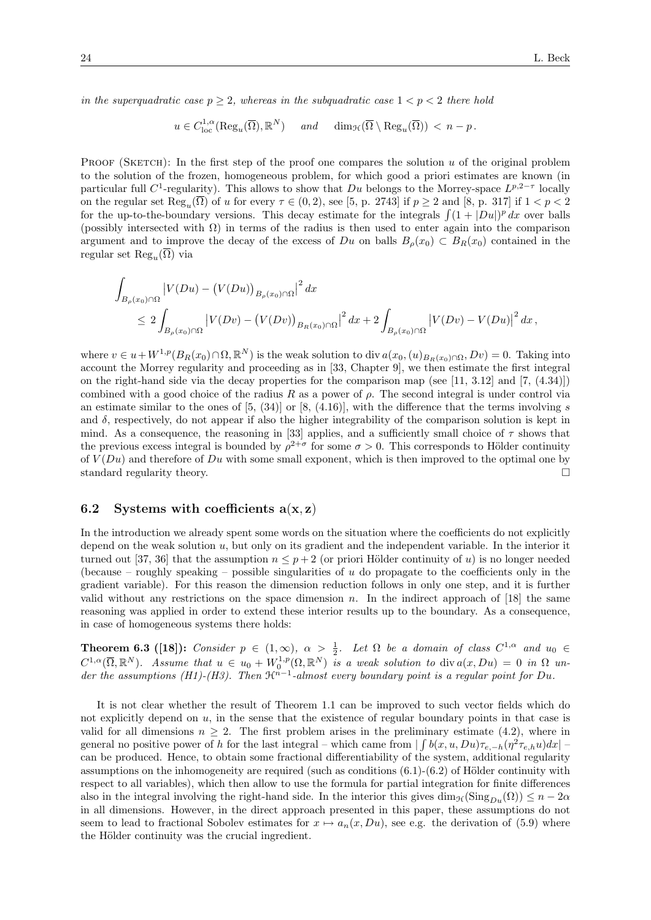in the superquadratic case  $p \geq 2$ , whereas in the subquadratic case  $1 < p < 2$  there hold

$$
u \in C_{\text{loc}}^{1,\alpha}(\text{Reg}_u(\overline{\Omega}), \mathbb{R}^N)
$$
 and  $\dim_{\mathcal{H}}(\overline{\Omega} \setminus \text{Reg}_u(\overline{\Omega})) < n - p$ .

PROOF (SKETCH): In the first step of the proof one compares the solution  $u$  of the original problem to the solution of the frozen, homogeneous problem, for which good a priori estimates are known (in particular full C<sup>1</sup>-regularity). This allows to show that Du belongs to the Morrey-space  $L^{p,2-\tau}$  locally on the regular set  $\text{Reg}_u(\Omega)$  of u for every  $\tau \in (0, 2)$ , see [5, p. 2743] if  $p \ge 2$  and [8, p. 317] if  $1 < p < 2$ for the up-to-the-boundary versions. This decay estimate for the integrals  $\int (1 + |Du|)^p dx$  over balls (possibly intersected with  $\Omega$ ) in terms of the radius is then used to enter again into the comparison argument and to improve the decay of the excess of Du on balls  $B_\rho(x_0) \subset B_R(x_0)$  contained in the regular set  ${\rm Reg}_u(\Omega)$  via

$$
\int_{B_{\rho}(x_0)\cap\Omega} |V(Du) - (V(Du))_{B_{\rho}(x_0)\cap\Omega}|^2 dx
$$
\n
$$
\leq 2 \int_{B_{\rho}(x_0)\cap\Omega} |V(Dv) - (V(Dv))_{B_R(x_0)\cap\Omega}|^2 dx + 2 \int_{B_{\rho}(x_0)\cap\Omega} |V(Dv) - V(Du)|^2 dx,
$$

where  $v \in u + W^{1,p}(B_R(x_0) \cap \Omega, \mathbb{R}^N)$  is the weak solution to div  $a(x_0, (u)_{B_R(x_0) \cap \Omega}, Dv) = 0$ . Taking into account the Morrey regularity and proceeding as in [33, Chapter 9], we then estimate the first integral on the right-hand side via the decay properties for the comparison map (see [11, 3.12] and [7,  $(4.34)$ ]) combined with a good choice of the radius R as a power of  $\rho$ . The second integral is under control via an estimate similar to the ones of  $[5, (34)]$  or  $[8, (4.16)]$ , with the difference that the terms involving s and  $\delta$ , respectively, do not appear if also the higher integrability of the comparison solution is kept in mind. As a consequence, the reasoning in [33] applies, and a sufficiently small choice of  $\tau$  shows that the previous excess integral is bounded by  $\rho^{2+\sigma}$  for some  $\sigma > 0$ . This corresponds to Hölder continuity of  $V(Du)$  and therefore of Du with some small exponent, which is then improved to the optimal one by standard regularity theory.

## 6.2 Systems with coefficients  $a(x, z)$

In the introduction we already spent some words on the situation where the coefficients do not explicitly depend on the weak solution  $u$ , but only on its gradient and the independent variable. In the interior it turned out [37, 36] that the assumption  $n \leq p+2$  (or priori Hölder continuity of u) is no longer needed (because – roughly speaking – possible singularities of  $u$  do propagate to the coefficients only in the gradient variable). For this reason the dimension reduction follows in only one step, and it is further valid without any restrictions on the space dimension  $n$ . In the indirect approach of [18] the same reasoning was applied in order to extend these interior results up to the boundary. As a consequence, in case of homogeneous systems there holds:

**Theorem 6.3** ([18]): Consider  $p \in (1,\infty)$ ,  $\alpha > \frac{1}{2}$ . Let  $\Omega$  be a domain of class  $C^{1,\alpha}$  and  $u_0 \in$  $C^{1,\alpha}(\overline{\Omega},\mathbb{R}^N)$ . Assume that  $u \in u_0 + W^{1,p}_0(\Omega,\mathbb{R}^N)$  is a weak solution to div $a(x,Du) = 0$  in  $\Omega$  under the assumptions (H1)-(H3). Then  $\mathfrak{R}^{n-1}$ -almost every boundary point is a regular point for Du.

It is not clear whether the result of Theorem 1.1 can be improved to such vector fields which do not explicitly depend on  $u$ , in the sense that the existence of regular boundary points in that case is valid for all dimensions  $n \geq 2$ . The first problem arises in the preliminary estimate (4.2), where in general no positive power of h for the last integral – which came from  $\int \int b(x, u, Du)\tau_{e,-h}(\eta^2\tau_{e,h}u)dx$ . can be produced. Hence, to obtain some fractional differentiability of the system, additional regularity assumptions on the inhomogeneity are required (such as conditions  $(6.1)-(6.2)$  of Hölder continuity with respect to all variables), which then allow to use the formula for partial integration for finite differences also in the integral involving the right-hand side. In the interior this gives  $\dim_{\mathcal{H}}(\text{Sing}_{Du}(\Omega)) \leq n - 2\alpha$ in all dimensions. However, in the direct approach presented in this paper, these assumptions do not seem to lead to fractional Sobolev estimates for  $x \mapsto a_n(x, Du)$ , see e.g. the derivation of (5.9) where the Hölder continuity was the crucial ingredient.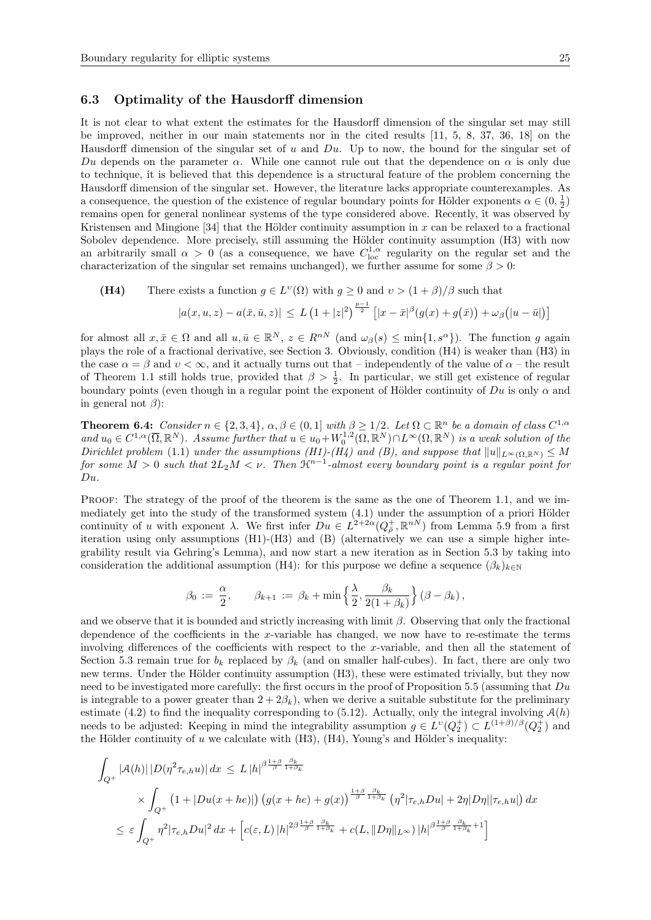## 6.3 Optimality of the Hausdorff dimension

It is not clear to what extent the estimates for the Hausdorff dimension of the singular set may still be improved, neither in our main statements nor in the cited results [11, 5, 8, 37, 36, 18] on the Hausdorff dimension of the singular set of  $u$  and  $Du$ . Up to now, the bound for the singular set of Du depends on the parameter  $\alpha$ . While one cannot rule out that the dependence on  $\alpha$  is only due to technique, it is believed that this dependence is a structural feature of the problem concerning the Hausdorff dimension of the singular set. However, the literature lacks appropriate counterexamples. As a consequence, the question of the existence of regular boundary points for Hölder exponents  $\alpha \in (0, \frac{1}{2})$ remains open for general nonlinear systems of the type considered above. Recently, it was observed by Kristensen and Mingione [34] that the Hölder continuity assumption in x can be relaxed to a fractional Sobolev dependence. More precisely, still assuming the Hölder continuity assumption (H3) with now an arbitrarily small  $\alpha > 0$  (as a consequence, we have  $C^{1,\alpha}_{loc}$  regularity on the regular set and the characterization of the singular set remains unchanged), we further assume for some  $\beta > 0$ :

(H4) There exists a function 
$$
g \in L^{\nu}(\Omega)
$$
 with  $g \ge 0$  and  $\nu > (1 + \beta)/\beta$  such that

$$
|a(x, u, z) - a(\bar{x}, \bar{u}, z)| \le L \left(1 + |z|^2\right)^{\frac{p-1}{2}} \left[|x - \bar{x}|^{\beta} (g(x) + g(\bar{x})) + \omega_{\beta} (|u - \bar{u}|)\right]
$$

for almost all  $x, \bar{x} \in \Omega$  and all  $u, \bar{u} \in \mathbb{R}^N$ ,  $z \in R^{nN}$  (and  $\omega_{\beta}(s) \le \min\{1, s^{\alpha}\}\)$ . The function g again plays the role of a fractional derivative, see Section 3. Obviously, condition (H4) is weaker than (H3) in the case  $\alpha = \beta$  and  $v < \infty$ , and it actually turns out that – independently of the value of  $\alpha$  – the result of Theorem 1.1 still holds true, provided that  $\beta > \frac{1}{2}$ . In particular, we still get existence of regular boundary points (even though in a regular point the exponent of Hölder continuity of  $Du$  is only  $\alpha$  and in general not  $\beta$ :

**Theorem 6.4:** Consider  $n \in \{2, 3, 4\}$ ,  $\alpha, \beta \in (0, 1]$  with  $\beta \ge 1/2$ . Let  $\Omega \subset \mathbb{R}^n$  be a domain of class  $C^{1,\alpha}$ and  $u_0 \in C^{1,\alpha}(\overline{\Omega},\mathbb{R}^N)$ . Assume further that  $u \in u_0 + W_0^{1,2}(\Omega,\mathbb{R}^N) \cap L^{\infty}(\Omega,\mathbb{R}^N)$  is a weak solution of the Dirichlet problem (1.1) under the assumptions (H1)-(H4) and (B), and suppose that  $||u||_{L^{\infty}(\Omega,\mathbb{R}^N)} \leq M$ for some  $M > 0$  such that  $2L_2M < \nu$ . Then  $\mathfrak{H}^{n-1}$ -almost every boundary point is a regular point for  $Du$ 

PROOF: The strategy of the proof of the theorem is the same as the one of Theorem 1.1, and we immediately get into the study of the transformed system  $(4.1)$  under the assumption of a priori Hölder continuity of u with exponent  $\lambda$ . We first infer  $Du \in L^{2+2\alpha}(Q^+_{\overline{\rho}}, \mathbb{R}^{nN})$  from Lemma 5.9 from a first iteration using only assumptions (H1)-(H3) and (B) (alternatively we can use a simple higher integrability result via Gehring's Lemma), and now start a new iteration as in Section 5.3 by taking into consideration the additional assumption (H4): for this purpose we define a sequence  $(\beta_k)_{k\in\mathbb{N}}$ 

$$
\beta_0 \, := \, \frac{\alpha}{2}, \qquad \beta_{k+1} \, := \, \beta_k + \min \Big\{ \frac{\lambda}{2}, \frac{\beta_k}{2(1+\beta_k)} \Big\} \left( \beta - \beta_k \right),
$$

and we observe that it is bounded and strictly increasing with limit  $\beta$ . Observing that only the fractional dependence of the coefficients in the x-variable has changed, we now have to re-estimate the terms involving differences of the coefficients with respect to the x-variable, and then all the statement of Section 5.3 remain true for  $b_k$  replaced by  $\beta_k$  (and on smaller half-cubes). In fact, there are only two new terms. Under the Hölder continuity assumption (H3), these were estimated trivially, but they now need to be investigated more carefully: the first occurs in the proof of Proposition 5.5 (assuming that  $Du$ is integrable to a power greater than  $2 + 2\beta_k$ , when we derive a suitable substitute for the preliminary estimate (4.2) to find the inequality corresponding to (5.12). Actually, only the integral involving  $\mathcal{A}(h)$ needs to be adjusted: Keeping in mind the integrability assumption  $g \in L^{\nu}(Q_2^+) \subset L^{(1+\beta)/\beta}(Q_2^+)$  and the Hölder continuity of u we calculate with  $(H3)$ ,  $(H4)$ , Young's and Hölder's inequality:

$$
\int_{Q^{+}} |\mathcal{A}(h)| |D(\eta^{2} \tau_{e,h} u)| dx \leq L |h|^{\beta \frac{1+\beta}{\beta} \frac{\beta_{k}}{1+\beta_{k}}}
$$
\n
$$
\times \int_{Q^{+}} (1 + |Du(x+he)|) (g(x+he) + g(x))^{\frac{1+\beta}{\beta} \frac{\beta_{k}}{1+\beta_{k}}} (\eta^{2} |\tau_{e,h} Du| + 2\eta |D\eta| |\tau_{e,h} u|) dx
$$
\n
$$
\leq \varepsilon \int_{Q^{+}} \eta^{2} |\tau_{e,h} Du|^{2} dx + \left[ c(\varepsilon, L) |h|^{2\beta \frac{1+\beta}{\beta} \frac{\beta_{k}}{1+\beta_{k}}} + c(L, \|D\eta\|_{L^{\infty}}) |h|^{ \beta \frac{1+\beta}{\beta} \frac{\beta_{k}}{1+\beta_{k}}} + 1 \right]
$$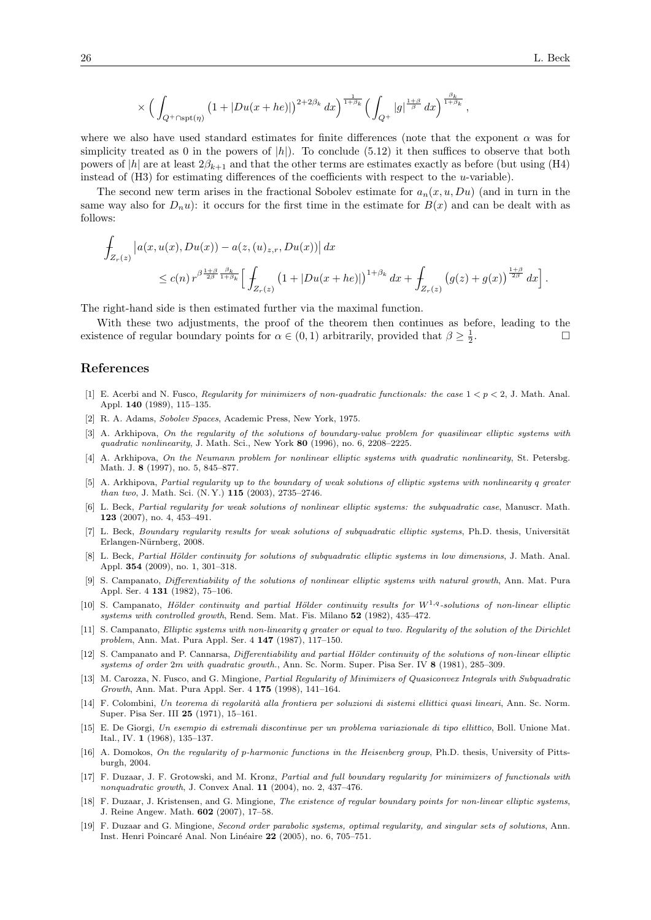.

$$
\times\,\Big(\int_{Q^+\cap\mathrm{spt}(\eta)}\big(1+|Du(x+he)|\big)^{2+2\beta_k}\,dx\Big)^{\frac{1}{1+\beta_k}}\Big(\int_{Q^+}|g|^{\frac{1+\beta}{\beta}}\,dx\Big)^{\frac{\beta_k}{1+\beta_k}}\,,
$$

where we also have used standard estimates for finite differences (note that the exponent  $\alpha$  was for simplicity treated as 0 in the powers of  $|h|$ . To conclude (5.12) it then suffices to observe that both powers of  $|h|$  are at least  $2\beta_{k+1}$  and that the other terms are estimates exactly as before (but using (H4) instead of  $(H3)$  for estimating differences of the coefficients with respect to the u-variable).

The second new term arises in the fractional Sobolev estimate for  $a_n(x, u, Du)$  (and in turn in the same way also for  $D_n u$ ): it occurs for the first time in the estimate for  $B(x)$  and can be dealt with as follows:

$$
\int_{Z_r(z)} \left| a(x, u(x), Du(x)) - a(z, (u)_{z,r}, Du(x)) \right| dx
$$
\n
$$
\leq c(n) r^{\beta \frac{1+\beta}{2\beta} \frac{\beta_k}{1+\beta_k}} \Big[ \int_{Z_r(z)} \left( 1 + |Du(x+he)| \right)^{1+\beta_k} dx + \int_{Z_r(z)} \left( g(z) + g(x) \right)^{\frac{1+\beta}{2\beta}} dx \Big]
$$

The right-hand side is then estimated further via the maximal function.

With these two adjustments, the proof of the theorem then continues as before, leading to the existence of regular boundary points for  $\alpha \in (0,1)$  arbitrarily, provided that  $\beta \geq \frac{1}{2}$ .

## References

- [1] E. Acerbi and N. Fusco, Regularity for minimizers of non-quadratic functionals: the case  $1 < p < 2$ , J. Math. Anal. Appl. 140 (1989), 115–135.
- [2] R. A. Adams, Sobolev Spaces, Academic Press, New York, 1975.
- [3] A. Arkhipova, On the regularity of the solutions of boundary-value problem for quasilinear elliptic systems with quadratic nonlinearity, J. Math. Sci., New York 80 (1996), no. 6, 2208-2225.
- [4] A. Arkhipova, On the Neumann problem for nonlinear elliptic systems with quadratic nonlinearity, St. Petersbg. Math. J. 8 (1997), no. 5, 845–877.
- [5] A. Arkhipova, Partial regularity up to the boundary of weak solutions of elliptic systems with nonlinearity q greater than two, J. Math. Sci. (N. Y.) 115 (2003), 2735–2746.
- [6] L. Beck, Partial regularity for weak solutions of nonlinear elliptic systems: the subquadratic case, Manuscr. Math. 123 (2007), no. 4, 453–491.
- [7] L. Beck, Boundary regularity results for weak solutions of subquadratic elliptic systems, Ph.D. thesis, Universität Erlangen-Nürnberg, 2008.
- [8] L. Beck, Partial Hölder continuity for solutions of subquadratic elliptic systems in low dimensions, J. Math. Anal. Appl. 354 (2009), no. 1, 301–318.
- [9] S. Campanato, Differentiability of the solutions of nonlinear elliptic systems with natural growth, Ann. Mat. Pura Appl. Ser. 4 131 (1982), 75–106.
- [10] S. Campanato, Hölder continuity and partial Hölder continuity results for  $W^{1,q}$ -solutions of non-linear elliptic systems with controlled growth, Rend. Sem. Mat. Fis. Milano 52 (1982), 435–472.
- [11] S. Campanato, Elliptic systems with non-linearity q greater or equal to two. Regularity of the solution of the Dirichlet problem, Ann. Mat. Pura Appl. Ser. 4 147 (1987), 117–150.
- [12] S. Campanato and P. Cannarsa, Differentiability and partial Hölder continuity of the solutions of non-linear elliptic systems of order 2m with quadratic growth., Ann. Sc. Norm. Super. Pisa Ser. IV 8 (1981), 285–309.
- [13] M. Carozza, N. Fusco, and G. Mingione, Partial Regularity of Minimizers of Quasiconvex Integrals with Subquadratic Growth, Ann. Mat. Pura Appl. Ser. 4 175 (1998), 141–164.
- [14] F. Colombini, Un teorema di regolarità alla frontiera per soluzioni di sistemi ellittici quasi lineari, Ann. Sc. Norm. Super. Pisa Ser. III 25 (1971), 15–161.
- [15] E. De Giorgi, Un esempio di estremali discontinue per un problema variazionale di tipo ellittico, Boll. Unione Mat. Ital., IV. 1 (1968), 135–137.
- [16] A. Domokos, On the regularity of p-harmonic functions in the Heisenberg group, Ph.D. thesis, University of Pittsburgh, 2004.
- [17] F. Duzaar, J. F. Grotowski, and M. Kronz, Partial and full boundary regularity for minimizers of functionals with nonquadratic growth, J. Convex Anal. 11 (2004), no. 2, 437–476.
- [18] F. Duzaar, J. Kristensen, and G. Mingione, The existence of regular boundary points for non-linear elliptic systems, J. Reine Angew. Math. 602 (2007), 17–58.
- [19] F. Duzaar and G. Mingione, Second order parabolic systems, optimal regularity, and singular sets of solutions, Ann. Inst. Henri Poincaré Anal. Non Linéaire 22 (2005), no. 6, 705–751.